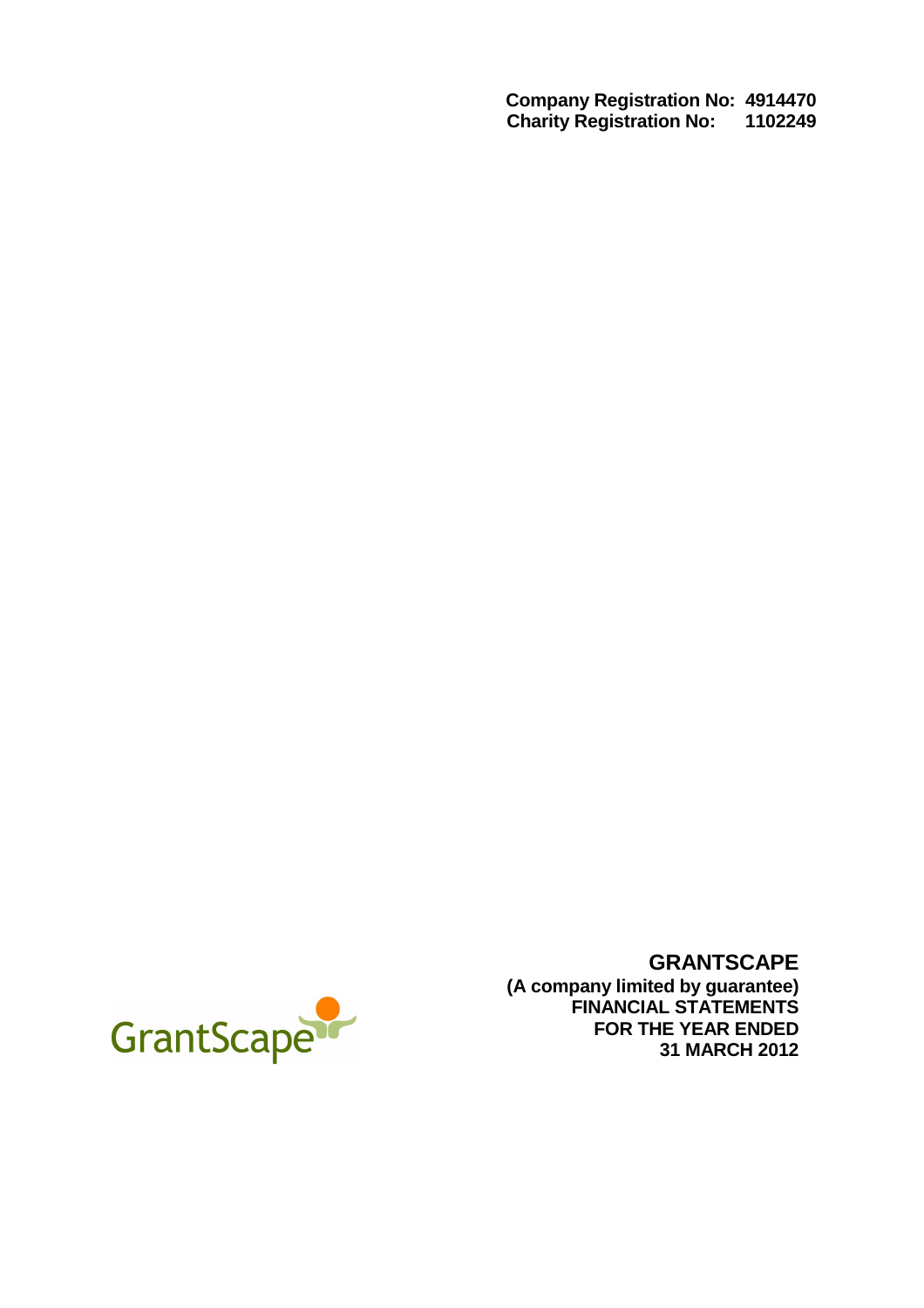**Company Registration No: 4914470 Charity Registration No: 1102249** 



**GRANTSCAPE (A company limited by guarantee) FINANCIAL STATEMENTS FOR THE YEAR ENDED 31 MARCH 2012**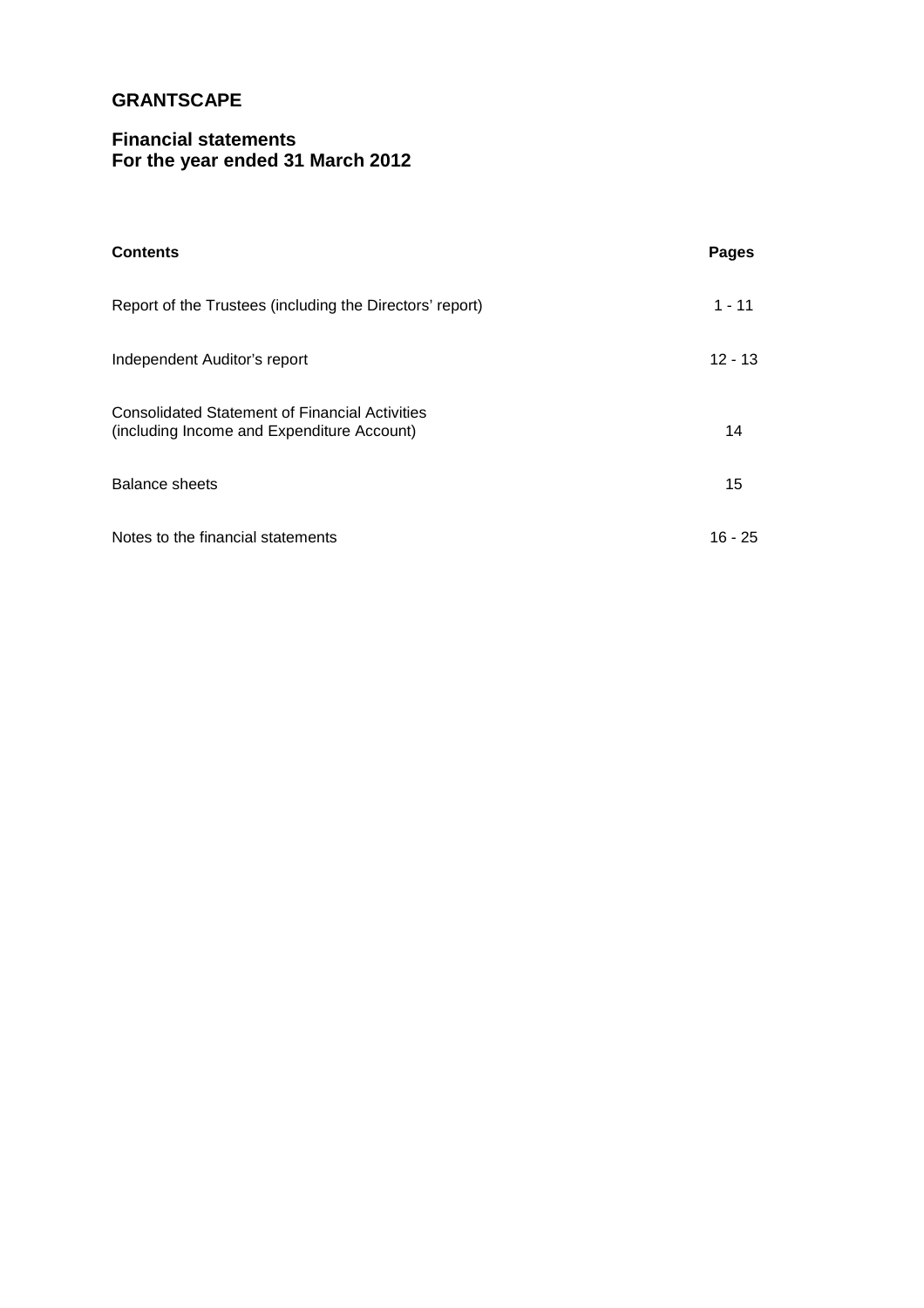# **Financial statements For the year ended 31 March 2012**

| <b>Contents</b>                                                                                     | Pages     |
|-----------------------------------------------------------------------------------------------------|-----------|
| Report of the Trustees (including the Directors' report)                                            | $1 - 11$  |
| Independent Auditor's report                                                                        | $12 - 13$ |
| <b>Consolidated Statement of Financial Activities</b><br>(including Income and Expenditure Account) | 14        |
| Balance sheets                                                                                      | 15        |
| Notes to the financial statements                                                                   | $16 - 25$ |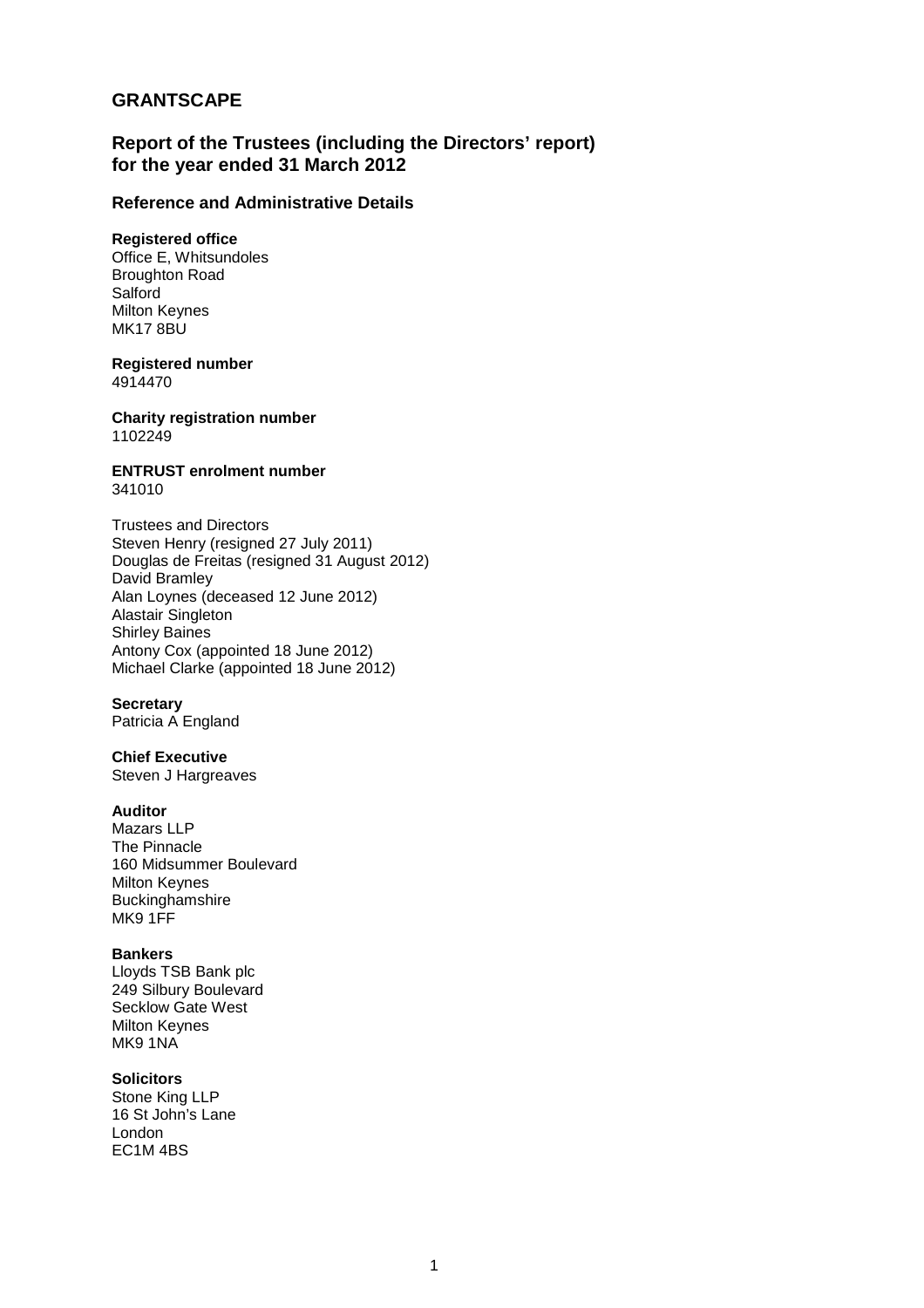# **Report of the Trustees (including the Directors' report) for the year ended 31 March 2012**

## **Reference and Administrative Details**

## **Registered office**

Office E, Whitsundoles Broughton Road Salford Milton Keynes MK17 8BU

## **Registered number**

4914470

**Charity registration number**  1102249

#### **ENTRUST enrolment number**  341010

Trustees and Directors Steven Henry (resigned 27 July 2011) Douglas de Freitas (resigned 31 August 2012) David Bramley Alan Loynes (deceased 12 June 2012) Alastair Singleton Shirley Baines Antony Cox (appointed 18 June 2012) Michael Clarke (appointed 18 June 2012)

## **Secretary**

Patricia A England

## **Chief Executive**

Steven J Hargreaves

## **Auditor**

Mazars LLP The Pinnacle 160 Midsummer Boulevard Milton Keynes Buckinghamshire MK9 1FF

### **Bankers**

Lloyds TSB Bank plc 249 Silbury Boulevard Secklow Gate West Milton Keynes MK9 1NA

## **Solicitors**

Stone King LLP 16 St John's Lane London EC1M 4BS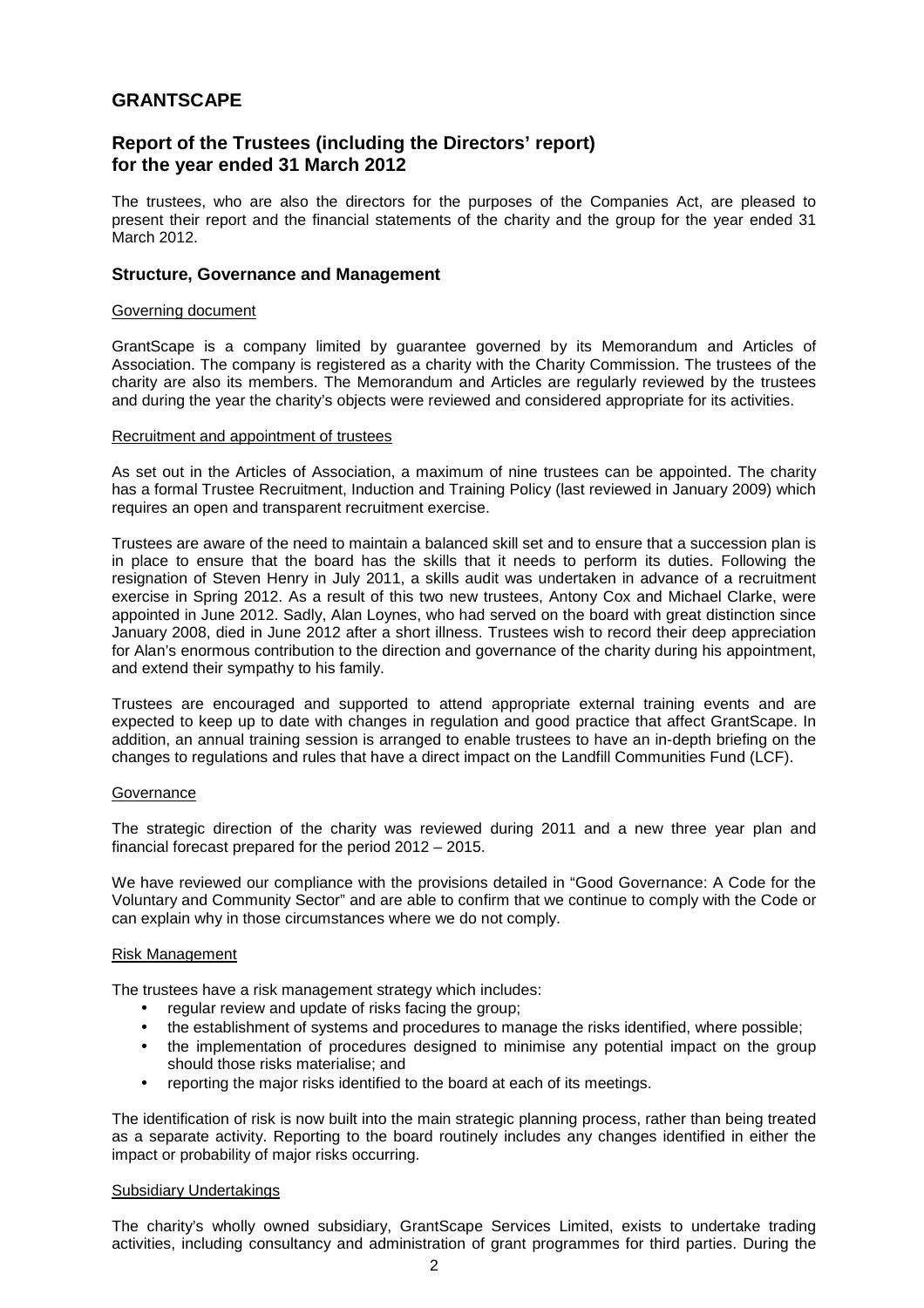# **Report of the Trustees (including the Directors' report) for the year ended 31 March 2012**

The trustees, who are also the directors for the purposes of the Companies Act, are pleased to present their report and the financial statements of the charity and the group for the year ended 31 March 2012.

### **Structure, Governance and Management**

### Governing document

GrantScape is a company limited by guarantee governed by its Memorandum and Articles of Association. The company is registered as a charity with the Charity Commission. The trustees of the charity are also its members. The Memorandum and Articles are regularly reviewed by the trustees and during the year the charity's objects were reviewed and considered appropriate for its activities.

#### Recruitment and appointment of trustees

As set out in the Articles of Association, a maximum of nine trustees can be appointed. The charity has a formal Trustee Recruitment, Induction and Training Policy (last reviewed in January 2009) which requires an open and transparent recruitment exercise.

Trustees are aware of the need to maintain a balanced skill set and to ensure that a succession plan is in place to ensure that the board has the skills that it needs to perform its duties. Following the resignation of Steven Henry in July 2011, a skills audit was undertaken in advance of a recruitment exercise in Spring 2012. As a result of this two new trustees, Antony Cox and Michael Clarke, were appointed in June 2012. Sadly, Alan Loynes, who had served on the board with great distinction since January 2008, died in June 2012 after a short illness. Trustees wish to record their deep appreciation for Alan's enormous contribution to the direction and governance of the charity during his appointment, and extend their sympathy to his family.

Trustees are encouraged and supported to attend appropriate external training events and are expected to keep up to date with changes in regulation and good practice that affect GrantScape. In addition, an annual training session is arranged to enable trustees to have an in-depth briefing on the changes to regulations and rules that have a direct impact on the Landfill Communities Fund (LCF).

### **Governance**

The strategic direction of the charity was reviewed during 2011 and a new three year plan and financial forecast prepared for the period 2012 – 2015.

We have reviewed our compliance with the provisions detailed in "Good Governance: A Code for the Voluntary and Community Sector" and are able to confirm that we continue to comply with the Code or can explain why in those circumstances where we do not comply.

### Risk Management

The trustees have a risk management strategy which includes:

- regular review and update of risks facing the group;
- the establishment of systems and procedures to manage the risks identified, where possible;
- the implementation of procedures designed to minimise any potential impact on the group should those risks materialise; and
- reporting the major risks identified to the board at each of its meetings.

The identification of risk is now built into the main strategic planning process, rather than being treated as a separate activity. Reporting to the board routinely includes any changes identified in either the impact or probability of major risks occurring.

### Subsidiary Undertakings

The charity's wholly owned subsidiary, GrantScape Services Limited, exists to undertake trading activities, including consultancy and administration of grant programmes for third parties. During the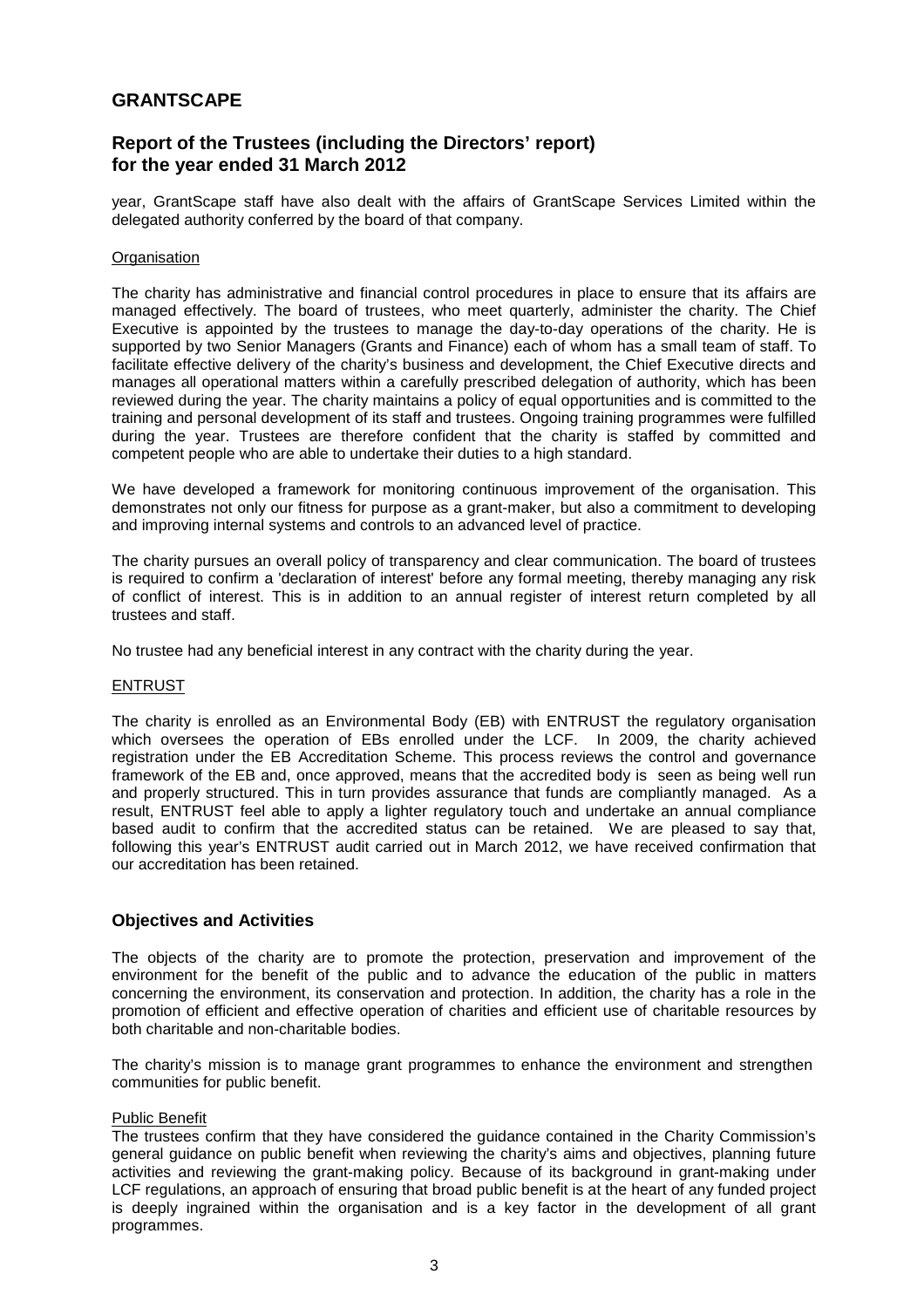# **Report of the Trustees (including the Directors' report) for the year ended 31 March 2012**

year, GrantScape staff have also dealt with the affairs of GrantScape Services Limited within the delegated authority conferred by the board of that company.

### **Organisation**

The charity has administrative and financial control procedures in place to ensure that its affairs are managed effectively. The board of trustees, who meet quarterly, administer the charity. The Chief Executive is appointed by the trustees to manage the day-to-day operations of the charity. He is supported by two Senior Managers (Grants and Finance) each of whom has a small team of staff. To facilitate effective delivery of the charity's business and development, the Chief Executive directs and manages all operational matters within a carefully prescribed delegation of authority, which has been reviewed during the year. The charity maintains a policy of equal opportunities and is committed to the training and personal development of its staff and trustees. Ongoing training programmes were fulfilled during the year. Trustees are therefore confident that the charity is staffed by committed and competent people who are able to undertake their duties to a high standard.

We have developed a framework for monitoring continuous improvement of the organisation. This demonstrates not only our fitness for purpose as a grant-maker, but also a commitment to developing and improving internal systems and controls to an advanced level of practice.

The charity pursues an overall policy of transparency and clear communication. The board of trustees is required to confirm a 'declaration of interest' before any formal meeting, thereby managing any risk of conflict of interest. This is in addition to an annual register of interest return completed by all trustees and staff.

No trustee had any beneficial interest in any contract with the charity during the year.

### **ENTRUST**

The charity is enrolled as an Environmental Body (EB) with ENTRUST the regulatory organisation which oversees the operation of EBs enrolled under the LCF. In 2009, the charity achieved registration under the EB Accreditation Scheme. This process reviews the control and governance framework of the EB and, once approved, means that the accredited body is seen as being well run and properly structured. This in turn provides assurance that funds are compliantly managed. As a result, ENTRUST feel able to apply a lighter regulatory touch and undertake an annual compliance based audit to confirm that the accredited status can be retained. We are pleased to say that, following this year's ENTRUST audit carried out in March 2012, we have received confirmation that our accreditation has been retained.

### **Objectives and Activities**

The objects of the charity are to promote the protection, preservation and improvement of the environment for the benefit of the public and to advance the education of the public in matters concerning the environment, its conservation and protection. In addition, the charity has a role in the promotion of efficient and effective operation of charities and efficient use of charitable resources by both charitable and non-charitable bodies.

The charity's mission is to manage grant programmes to enhance the environment and strengthen communities for public benefit.

### Public Benefit

The trustees confirm that they have considered the guidance contained in the Charity Commission's general guidance on public benefit when reviewing the charity's aims and objectives, planning future activities and reviewing the grant-making policy. Because of its background in grant-making under LCF regulations, an approach of ensuring that broad public benefit is at the heart of any funded project is deeply ingrained within the organisation and is a key factor in the development of all grant programmes.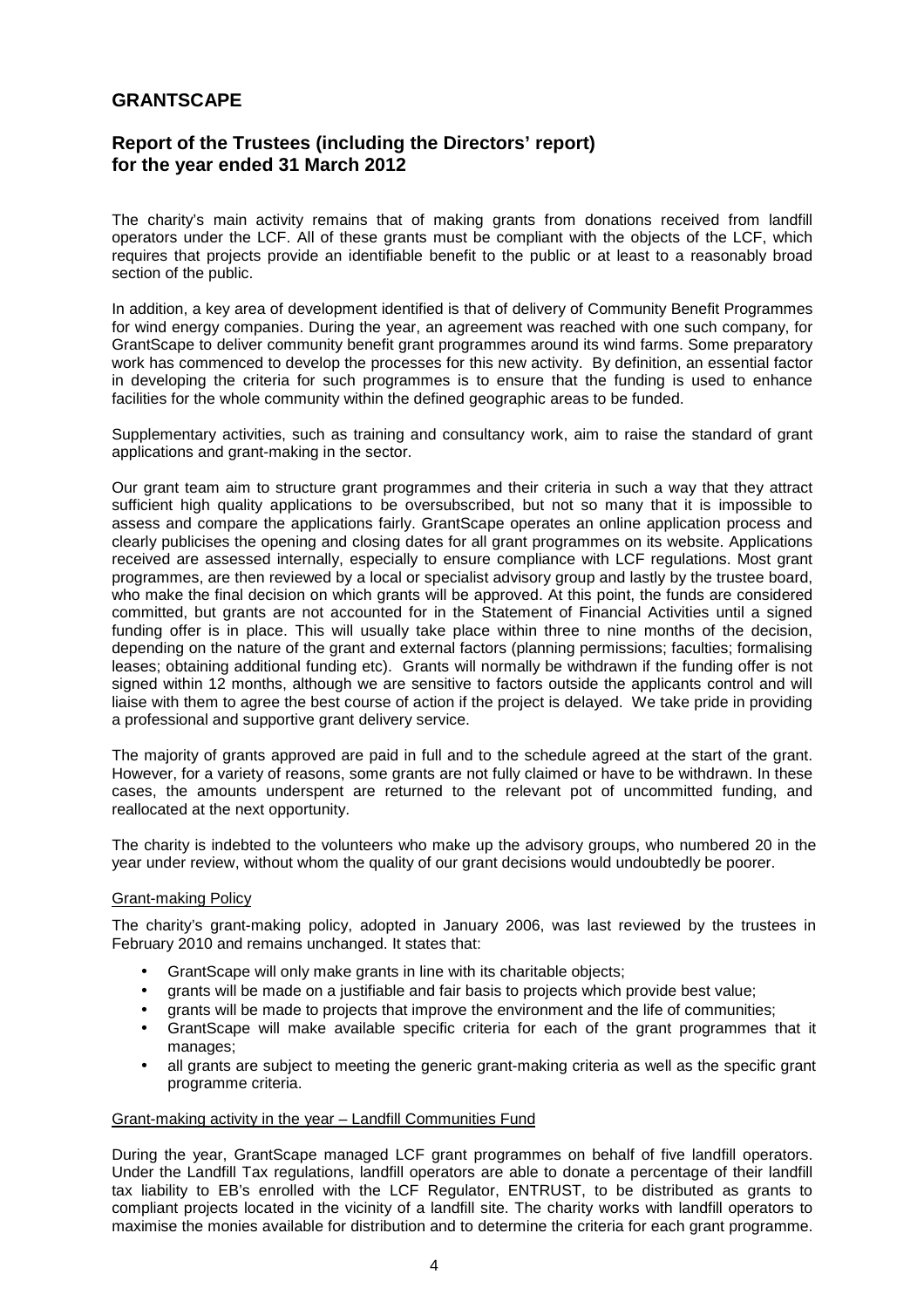# **Report of the Trustees (including the Directors' report) for the year ended 31 March 2012**

The charity's main activity remains that of making grants from donations received from landfill operators under the LCF. All of these grants must be compliant with the objects of the LCF, which requires that projects provide an identifiable benefit to the public or at least to a reasonably broad section of the public.

In addition, a key area of development identified is that of delivery of Community Benefit Programmes for wind energy companies. During the year, an agreement was reached with one such company, for GrantScape to deliver community benefit grant programmes around its wind farms. Some preparatory work has commenced to develop the processes for this new activity. By definition, an essential factor in developing the criteria for such programmes is to ensure that the funding is used to enhance facilities for the whole community within the defined geographic areas to be funded.

Supplementary activities, such as training and consultancy work, aim to raise the standard of grant applications and grant-making in the sector.

Our grant team aim to structure grant programmes and their criteria in such a way that they attract sufficient high quality applications to be oversubscribed, but not so many that it is impossible to assess and compare the applications fairly. GrantScape operates an online application process and clearly publicises the opening and closing dates for all grant programmes on its website. Applications received are assessed internally, especially to ensure compliance with LCF regulations. Most grant programmes, are then reviewed by a local or specialist advisory group and lastly by the trustee board, who make the final decision on which grants will be approved. At this point, the funds are considered committed, but grants are not accounted for in the Statement of Financial Activities until a signed funding offer is in place. This will usually take place within three to nine months of the decision, depending on the nature of the grant and external factors (planning permissions; faculties; formalising leases; obtaining additional funding etc). Grants will normally be withdrawn if the funding offer is not signed within 12 months, although we are sensitive to factors outside the applicants control and will liaise with them to agree the best course of action if the project is delayed. We take pride in providing a professional and supportive grant delivery service.

The majority of grants approved are paid in full and to the schedule agreed at the start of the grant. However, for a variety of reasons, some grants are not fully claimed or have to be withdrawn. In these cases, the amounts underspent are returned to the relevant pot of uncommitted funding, and reallocated at the next opportunity.

The charity is indebted to the volunteers who make up the advisory groups, who numbered 20 in the year under review, without whom the quality of our grant decisions would undoubtedly be poorer.

### Grant-making Policy

The charity's grant-making policy, adopted in January 2006, was last reviewed by the trustees in February 2010 and remains unchanged. It states that:

- GrantScape will only make grants in line with its charitable objects;
- grants will be made on a justifiable and fair basis to projects which provide best value;
- grants will be made to projects that improve the environment and the life of communities;
- GrantScape will make available specific criteria for each of the grant programmes that it manages;
- all grants are subject to meeting the generic grant-making criteria as well as the specific grant programme criteria.

## Grant-making activity in the year – Landfill Communities Fund

During the year, GrantScape managed LCF grant programmes on behalf of five landfill operators. Under the Landfill Tax regulations, landfill operators are able to donate a percentage of their landfill tax liability to EB's enrolled with the LCF Regulator, ENTRUST, to be distributed as grants to compliant projects located in the vicinity of a landfill site. The charity works with landfill operators to maximise the monies available for distribution and to determine the criteria for each grant programme.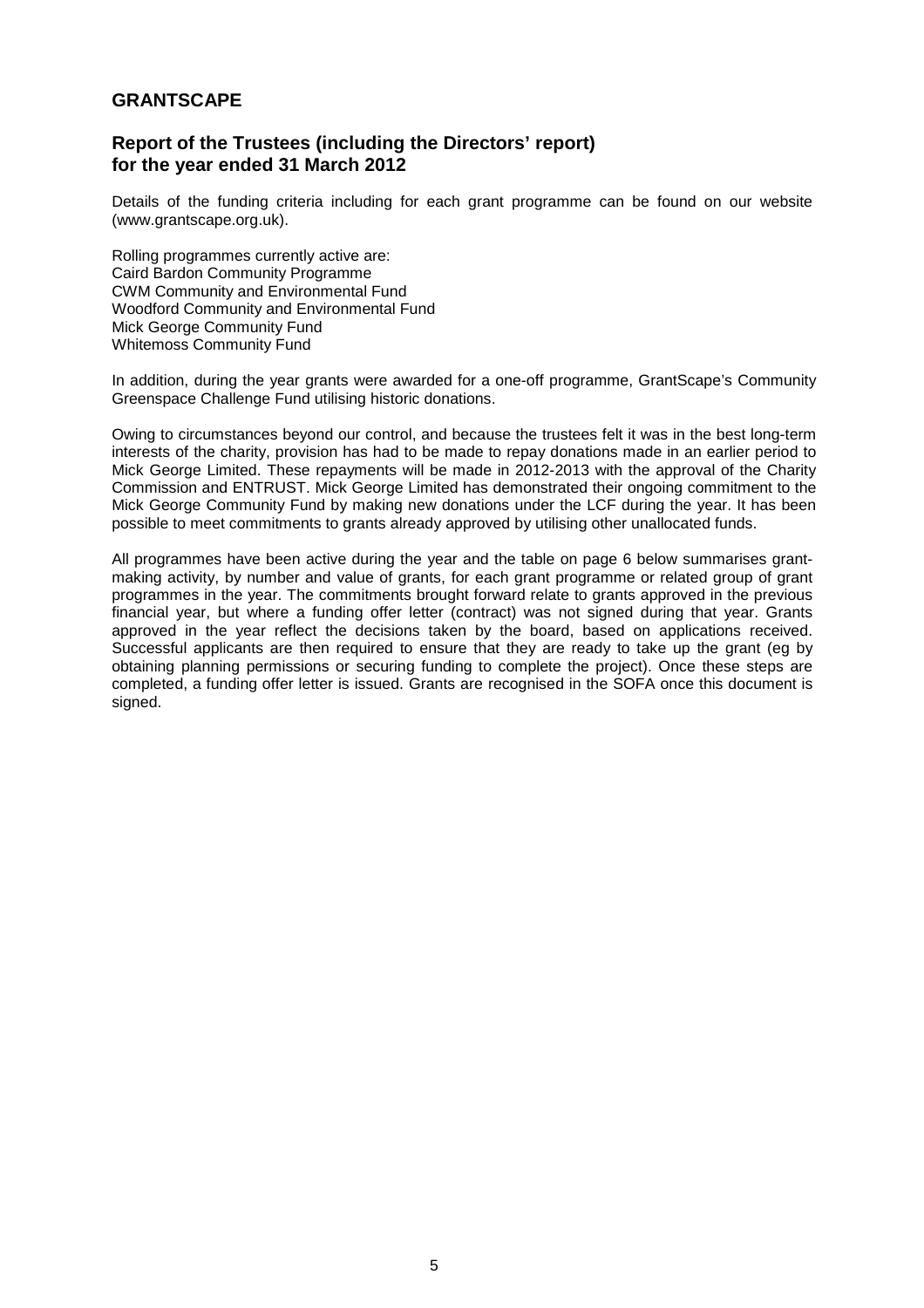# **Report of the Trustees (including the Directors' report) for the year ended 31 March 2012**

Details of the funding criteria including for each grant programme can be found on our website (www.grantscape.org.uk).

Rolling programmes currently active are: Caird Bardon Community Programme CWM Community and Environmental Fund Woodford Community and Environmental Fund Mick George Community Fund Whitemoss Community Fund

In addition, during the year grants were awarded for a one-off programme, GrantScape's Community Greenspace Challenge Fund utilising historic donations.

Owing to circumstances beyond our control, and because the trustees felt it was in the best long-term interests of the charity, provision has had to be made to repay donations made in an earlier period to Mick George Limited. These repayments will be made in 2012-2013 with the approval of the Charity Commission and ENTRUST. Mick George Limited has demonstrated their ongoing commitment to the Mick George Community Fund by making new donations under the LCF during the year. It has been possible to meet commitments to grants already approved by utilising other unallocated funds.

All programmes have been active during the year and the table on page 6 below summarises grantmaking activity, by number and value of grants, for each grant programme or related group of grant programmes in the year. The commitments brought forward relate to grants approved in the previous financial year, but where a funding offer letter (contract) was not signed during that year. Grants approved in the year reflect the decisions taken by the board, based on applications received. Successful applicants are then required to ensure that they are ready to take up the grant (eg by obtaining planning permissions or securing funding to complete the project). Once these steps are completed, a funding offer letter is issued. Grants are recognised in the SOFA once this document is signed.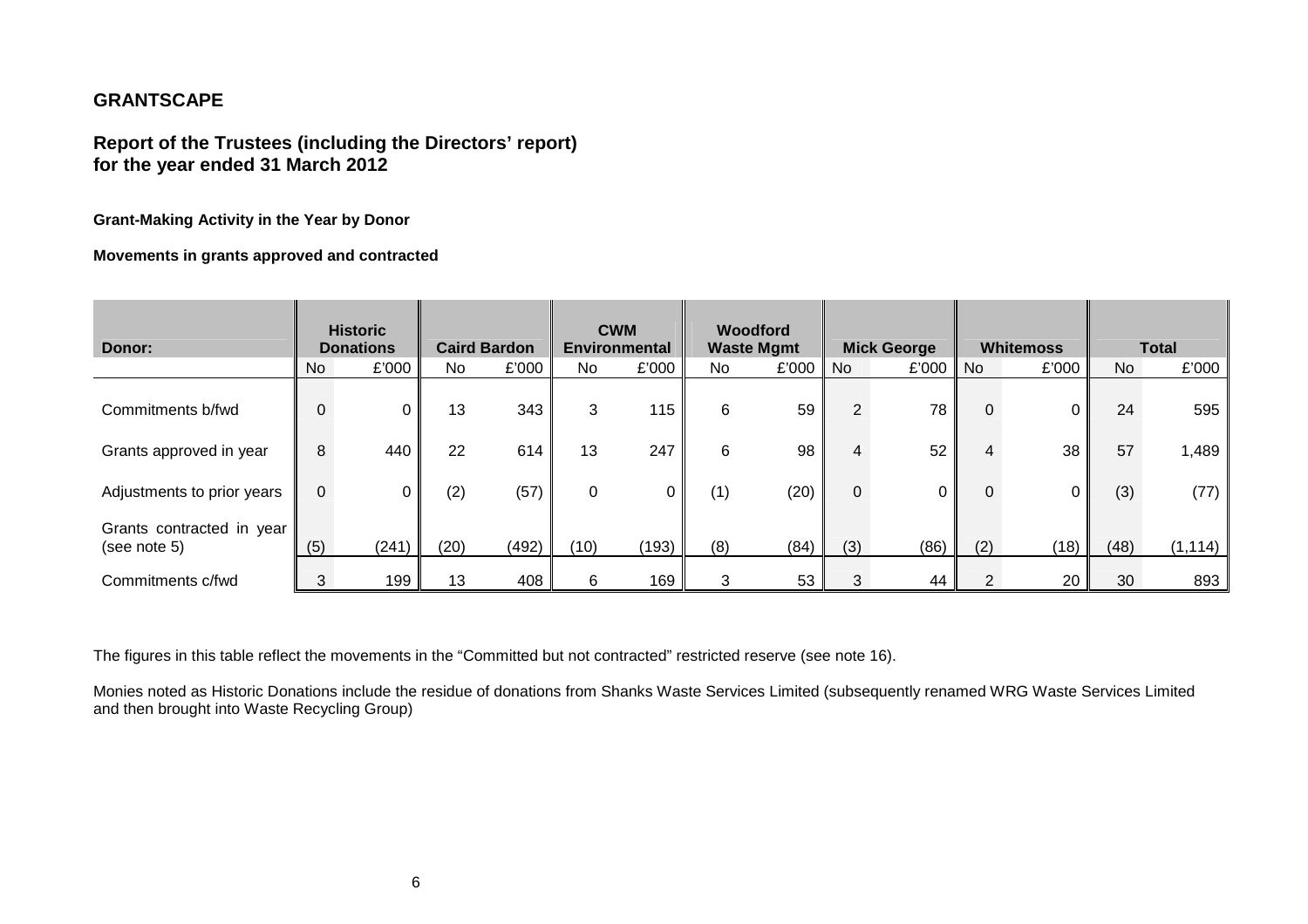# **Report of the Trustees (including the Directors' report) for the year ended 31 March 2012**

**Grant-Making Activity in the Year by Donor** 

**Movements in grants approved and contracted** 

| Donor:                                    |     | <b>Historic</b><br><b>Donations</b> |      | <b>Caird Bardon</b> |          | <b>CWM</b><br><b>Environmental</b> |     | Woodford<br><b>Waste Mgmt</b> |                | <b>Mick George</b> |        | <b>Whitemoss</b> |      | <b>Total</b> |
|-------------------------------------------|-----|-------------------------------------|------|---------------------|----------|------------------------------------|-----|-------------------------------|----------------|--------------------|--------|------------------|------|--------------|
|                                           | No. | £'000                               | No.  | £'000               | No.      | £'000                              | No. | £'000                         | <b>No</b>      | £'000              | ll Nol | £'000            | No.  | £'000        |
| Commitments b/fwd                         |     | 0                                   | 13   | 343                 | 3        | 115                                | 6   | 59                            | $\overline{2}$ | 78 I               | 0      | 0                | 24   | 595          |
| Grants approved in year                   | 8   | 440                                 | 22   | 614                 | 13       | 247                                | 6   | 98                            |                | 52                 | 4      | 38               | 57   | 1,489        |
| Adjustments to prior years                | 0   | $\overline{0}$                      | (2)  | (57)                | $\Omega$ |                                    | (1) | (20)                          | $\overline{0}$ |                    | 0      | 0                | (3)  | (77)         |
| Grants contracted in year<br>(see note 5) | (5) | (241)                               | (20) | (492)               | (10)     | (193)                              | (8) | (84)                          | (3)            | (86)               | (2)    | (18)             | (48) | (1, 114)     |
| Commitments c/fwd                         |     | 199                                 | 13   | 408                 | 6        | 169                                | 3   | 53                            | 3              | 44                 |        | 20               | 30   | 893          |

The figures in this table reflect the movements in the "Committed but not contracted" restricted reserve (see note 16).

Monies noted as Historic Donations include the residue of donations from Shanks Waste Services Limited (subsequently renamed WRG Waste Services Limited and then brought into Waste Recycling Group)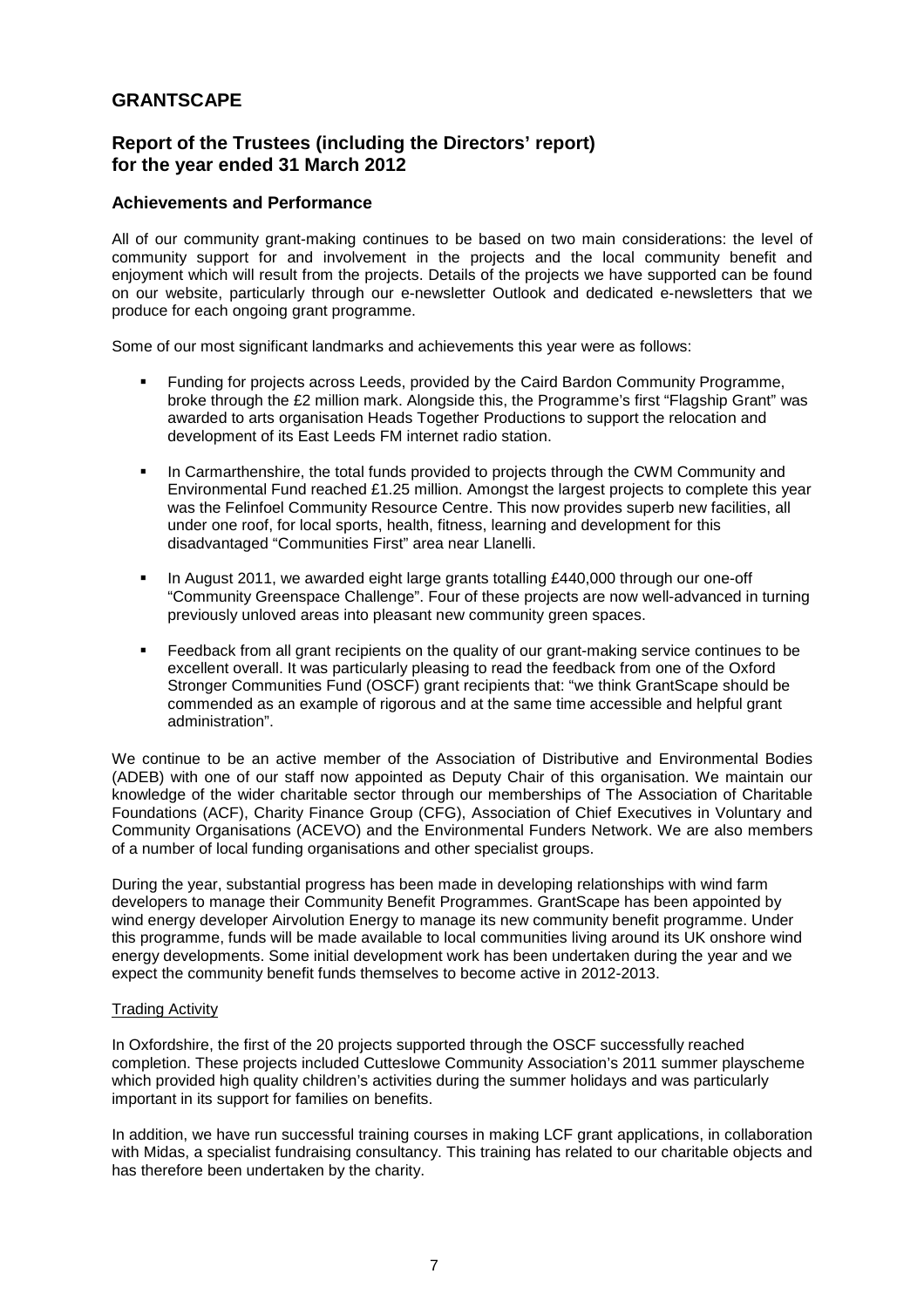# **Report of the Trustees (including the Directors' report) for the year ended 31 March 2012**

## **Achievements and Performance**

All of our community grant-making continues to be based on two main considerations: the level of community support for and involvement in the projects and the local community benefit and enjoyment which will result from the projects. Details of the projects we have supported can be found on our website, particularly through our e-newsletter Outlook and dedicated e-newsletters that we produce for each ongoing grant programme.

Some of our most significant landmarks and achievements this year were as follows:

- Funding for projects across Leeds, provided by the Caird Bardon Community Programme, broke through the £2 million mark. Alongside this, the Programme's first "Flagship Grant" was awarded to arts organisation Heads Together Productions to support the relocation and development of its East Leeds FM internet radio station.
- In Carmarthenshire, the total funds provided to projects through the CWM Community and Environmental Fund reached £1.25 million. Amongst the largest projects to complete this year was the Felinfoel Community Resource Centre. This now provides superb new facilities, all under one roof, for local sports, health, fitness, learning and development for this disadvantaged "Communities First" area near Llanelli.
- In August 2011, we awarded eight large grants totalling £440,000 through our one-off "Community Greenspace Challenge". Four of these projects are now well-advanced in turning previously unloved areas into pleasant new community green spaces.
- Feedback from all grant recipients on the quality of our grant-making service continues to be excellent overall. It was particularly pleasing to read the feedback from one of the Oxford Stronger Communities Fund (OSCF) grant recipients that: "we think GrantScape should be commended as an example of rigorous and at the same time accessible and helpful grant administration".

We continue to be an active member of the Association of Distributive and Environmental Bodies (ADEB) with one of our staff now appointed as Deputy Chair of this organisation. We maintain our knowledge of the wider charitable sector through our memberships of The Association of Charitable Foundations (ACF), Charity Finance Group (CFG), Association of Chief Executives in Voluntary and Community Organisations (ACEVO) and the Environmental Funders Network. We are also members of a number of local funding organisations and other specialist groups.

During the year, substantial progress has been made in developing relationships with wind farm developers to manage their Community Benefit Programmes. GrantScape has been appointed by wind energy developer Airvolution Energy to manage its new community benefit programme. Under this programme, funds will be made available to local communities living around its UK onshore wind energy developments. Some initial development work has been undertaken during the year and we expect the community benefit funds themselves to become active in 2012-2013.

## Trading Activity

In Oxfordshire, the first of the 20 projects supported through the OSCF successfully reached completion. These projects included Cutteslowe Community Association's 2011 summer playscheme which provided high quality children's activities during the summer holidays and was particularly important in its support for families on benefits.

In addition, we have run successful training courses in making LCF grant applications, in collaboration with Midas, a specialist fundraising consultancy. This training has related to our charitable objects and has therefore been undertaken by the charity.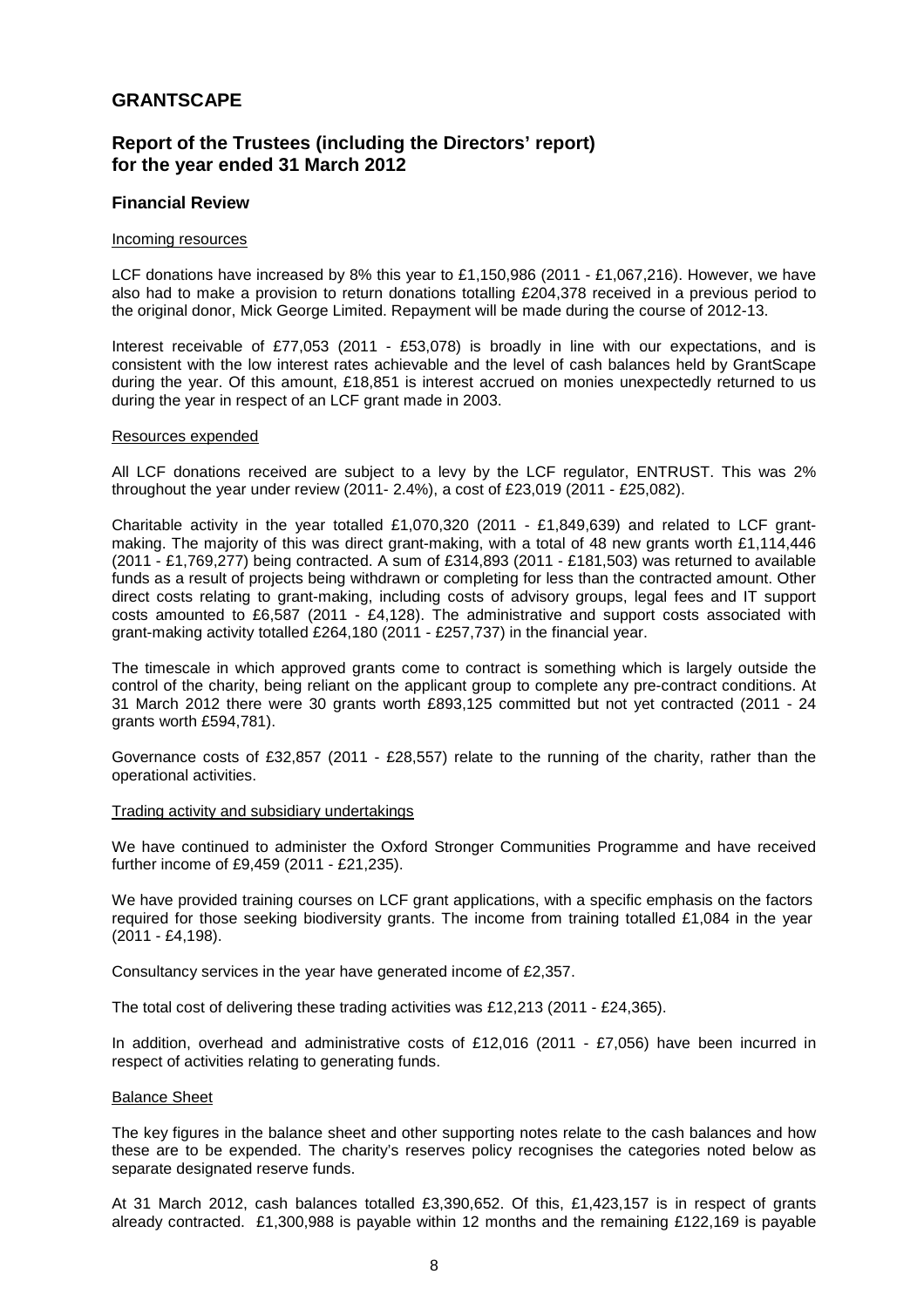# **Report of the Trustees (including the Directors' report) for the year ended 31 March 2012**

## **Financial Review**

#### Incoming resources

LCF donations have increased by 8% this year to £1,150,986 (2011 - £1,067,216). However, we have also had to make a provision to return donations totalling £204,378 received in a previous period to the original donor, Mick George Limited. Repayment will be made during the course of 2012-13.

Interest receivable of £77,053 (2011 - £53,078) is broadly in line with our expectations, and is consistent with the low interest rates achievable and the level of cash balances held by GrantScape during the year. Of this amount, £18,851 is interest accrued on monies unexpectedly returned to us during the year in respect of an LCF grant made in 2003.

#### Resources expended

All LCF donations received are subject to a levy by the LCF regulator, ENTRUST. This was 2% throughout the year under review (2011- 2.4%), a cost of £23,019 (2011 - £25,082).

Charitable activity in the year totalled £1,070,320 (2011 - £1,849,639) and related to LCF grantmaking. The majority of this was direct grant-making, with a total of 48 new grants worth £1,114,446 (2011 - £1,769,277) being contracted. A sum of £314,893 (2011 - £181,503) was returned to available funds as a result of projects being withdrawn or completing for less than the contracted amount. Other direct costs relating to grant-making, including costs of advisory groups, legal fees and IT support costs amounted to £6,587 (2011 - £4,128). The administrative and support costs associated with grant-making activity totalled £264,180 (2011 - £257,737) in the financial year.

The timescale in which approved grants come to contract is something which is largely outside the control of the charity, being reliant on the applicant group to complete any pre-contract conditions. At 31 March 2012 there were 30 grants worth £893,125 committed but not yet contracted (2011 - 24 grants worth £594,781).

Governance costs of £32,857 (2011 - £28,557) relate to the running of the charity, rather than the operational activities.

#### Trading activity and subsidiary undertakings

We have continued to administer the Oxford Stronger Communities Programme and have received further income of £9,459 (2011 - £21,235).

We have provided training courses on LCF grant applications, with a specific emphasis on the factors required for those seeking biodiversity grants. The income from training totalled £1,084 in the year (2011 - £4,198).

Consultancy services in the year have generated income of £2,357.

The total cost of delivering these trading activities was £12,213 (2011 - £24,365).

In addition, overhead and administrative costs of £12,016 (2011 - £7,056) have been incurred in respect of activities relating to generating funds.

### Balance Sheet

The key figures in the balance sheet and other supporting notes relate to the cash balances and how these are to be expended. The charity's reserves policy recognises the categories noted below as separate designated reserve funds.

At 31 March 2012, cash balances totalled £3,390,652. Of this, £1,423,157 is in respect of grants already contracted. £1,300,988 is payable within 12 months and the remaining £122,169 is payable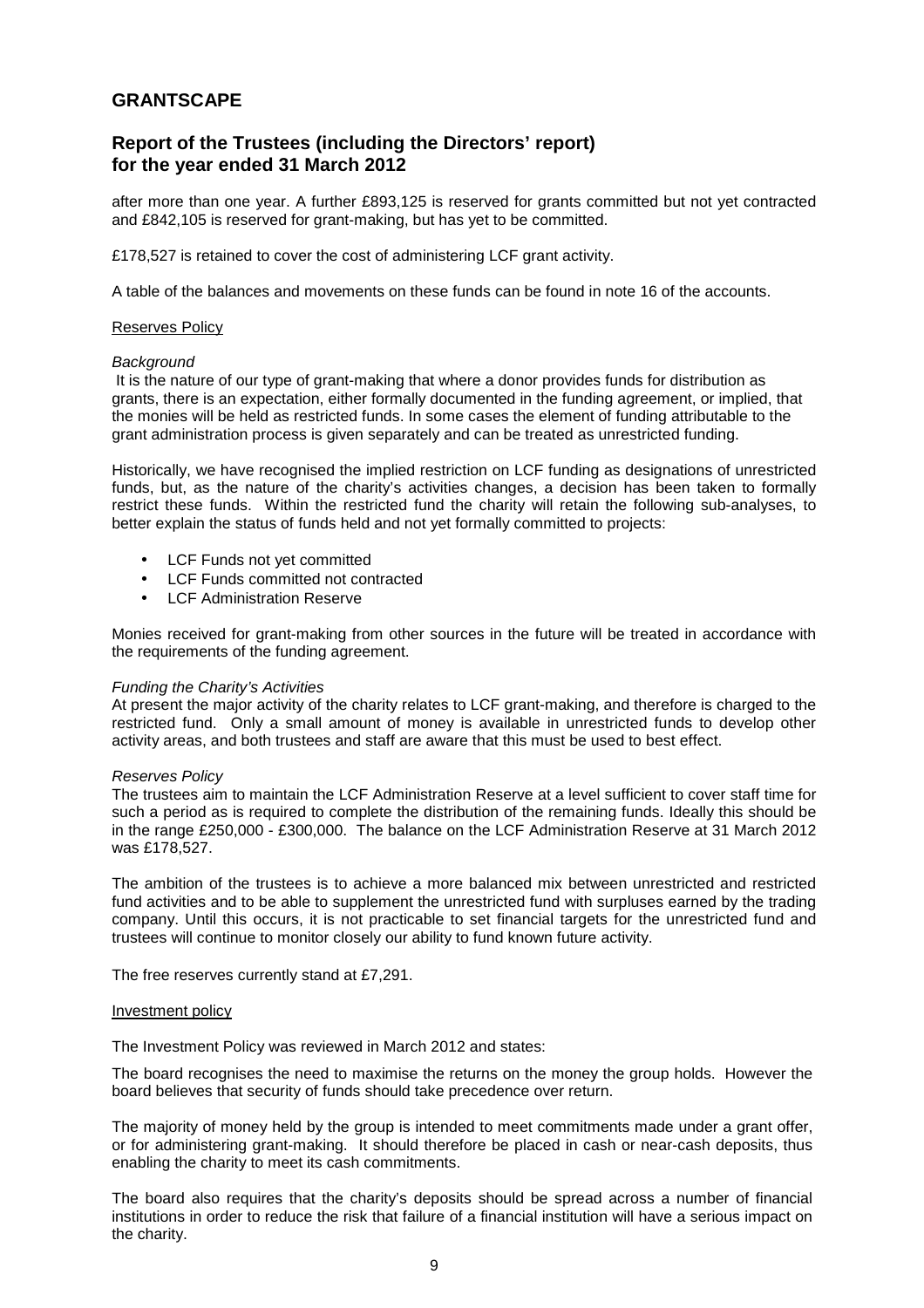# **Report of the Trustees (including the Directors' report) for the year ended 31 March 2012**

after more than one year. A further £893,125 is reserved for grants committed but not yet contracted and £842,105 is reserved for grant-making, but has yet to be committed.

£178,527 is retained to cover the cost of administering LCF grant activity.

A table of the balances and movements on these funds can be found in note 16 of the accounts.

#### Reserves Policy

#### **Background**

 It is the nature of our type of grant-making that where a donor provides funds for distribution as grants, there is an expectation, either formally documented in the funding agreement, or implied, that the monies will be held as restricted funds. In some cases the element of funding attributable to the grant administration process is given separately and can be treated as unrestricted funding.

Historically, we have recognised the implied restriction on LCF funding as designations of unrestricted funds, but, as the nature of the charity's activities changes, a decision has been taken to formally restrict these funds. Within the restricted fund the charity will retain the following sub-analyses, to better explain the status of funds held and not yet formally committed to projects:

- LCF Funds not yet committed
- LCF Funds committed not contracted
- **LCF Administration Reserve**

Monies received for grant-making from other sources in the future will be treated in accordance with the requirements of the funding agreement.

#### Funding the Charity's Activities

At present the major activity of the charity relates to LCF grant-making, and therefore is charged to the restricted fund. Only a small amount of money is available in unrestricted funds to develop other activity areas, and both trustees and staff are aware that this must be used to best effect.

#### Reserves Policy

The trustees aim to maintain the LCF Administration Reserve at a level sufficient to cover staff time for such a period as is required to complete the distribution of the remaining funds. Ideally this should be in the range £250,000 - £300,000. The balance on the LCF Administration Reserve at 31 March 2012 was £178,527.

The ambition of the trustees is to achieve a more balanced mix between unrestricted and restricted fund activities and to be able to supplement the unrestricted fund with surpluses earned by the trading company. Until this occurs, it is not practicable to set financial targets for the unrestricted fund and trustees will continue to monitor closely our ability to fund known future activity.

The free reserves currently stand at £7,291.

#### Investment policy

The Investment Policy was reviewed in March 2012 and states:

The board recognises the need to maximise the returns on the money the group holds. However the board believes that security of funds should take precedence over return.

The majority of money held by the group is intended to meet commitments made under a grant offer, or for administering grant-making. It should therefore be placed in cash or near-cash deposits, thus enabling the charity to meet its cash commitments.

The board also requires that the charity's deposits should be spread across a number of financial institutions in order to reduce the risk that failure of a financial institution will have a serious impact on the charity.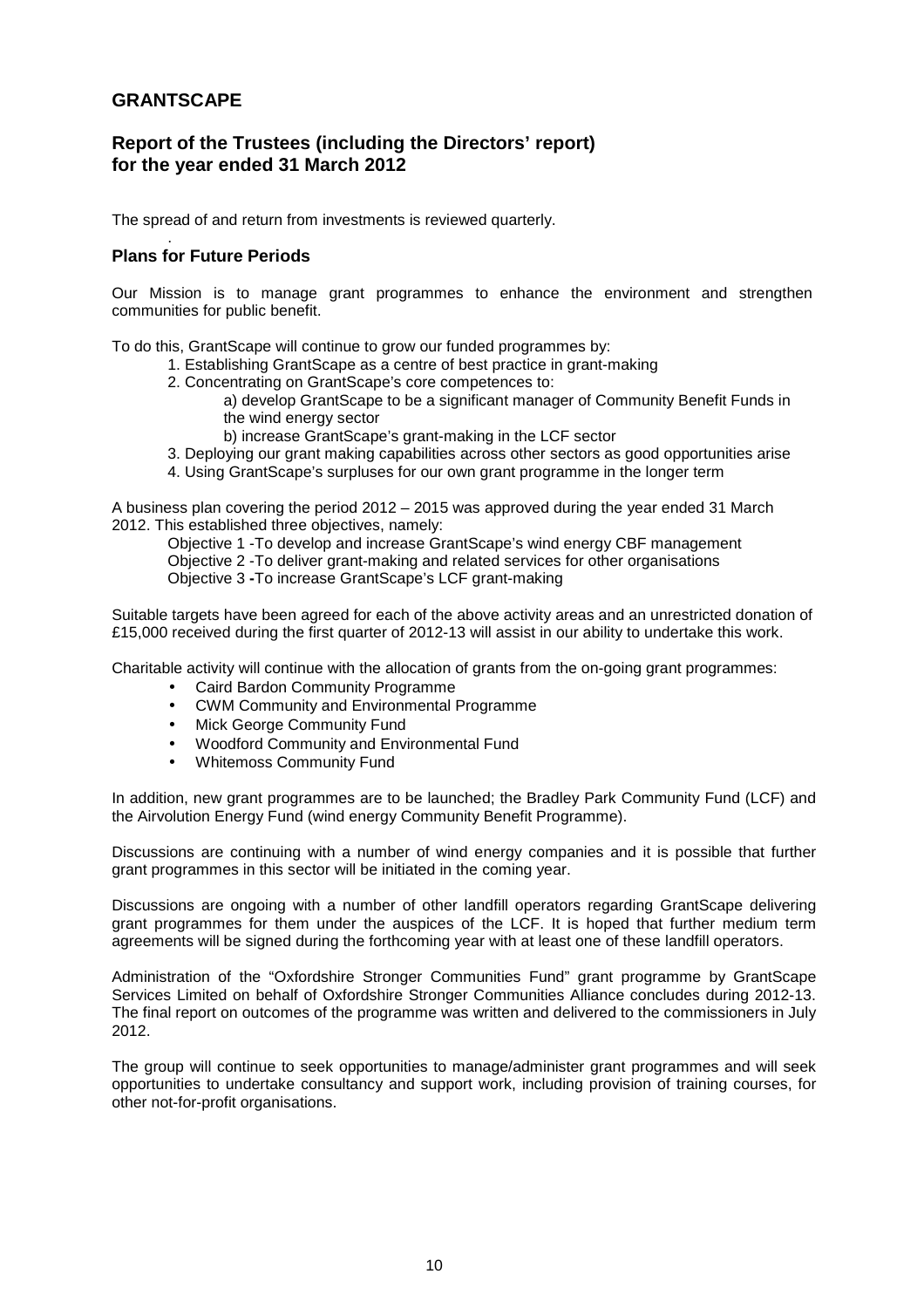# **Report of the Trustees (including the Directors' report) for the year ended 31 March 2012**

The spread of and return from investments is reviewed quarterly.

#### . **Plans for Future Periods**

Our Mission is to manage grant programmes to enhance the environment and strengthen communities for public benefit.

To do this, GrantScape will continue to grow our funded programmes by:

- 1. Establishing GrantScape as a centre of best practice in grant-making
- 2. Concentrating on GrantScape's core competences to:

 a) develop GrantScape to be a significant manager of Community Benefit Funds in the wind energy sector

b) increase GrantScape's grant-making in the LCF sector

- 3. Deploying our grant making capabilities across other sectors as good opportunities arise
- 4. Using GrantScape's surpluses for our own grant programme in the longer term

A business plan covering the period 2012 – 2015 was approved during the year ended 31 March 2012. This established three objectives, namely:

Objective 1 -To develop and increase GrantScape's wind energy CBF management Objective 2 -To deliver grant-making and related services for other organisations Objective 3 **-**To increase GrantScape's LCF grant-making

Suitable targets have been agreed for each of the above activity areas and an unrestricted donation of £15,000 received during the first quarter of 2012-13 will assist in our ability to undertake this work.

Charitable activity will continue with the allocation of grants from the on-going grant programmes:

- Caird Bardon Community Programme
- CWM Community and Environmental Programme
- Mick George Community Fund
- Woodford Community and Environmental Fund
- Whitemoss Community Fund

In addition, new grant programmes are to be launched; the Bradley Park Community Fund (LCF) and the Airvolution Energy Fund (wind energy Community Benefit Programme).

Discussions are continuing with a number of wind energy companies and it is possible that further grant programmes in this sector will be initiated in the coming year.

Discussions are ongoing with a number of other landfill operators regarding GrantScape delivering grant programmes for them under the auspices of the LCF. It is hoped that further medium term agreements will be signed during the forthcoming year with at least one of these landfill operators.

Administration of the "Oxfordshire Stronger Communities Fund" grant programme by GrantScape Services Limited on behalf of Oxfordshire Stronger Communities Alliance concludes during 2012-13. The final report on outcomes of the programme was written and delivered to the commissioners in July 2012.

The group will continue to seek opportunities to manage/administer grant programmes and will seek opportunities to undertake consultancy and support work, including provision of training courses, for other not-for-profit organisations.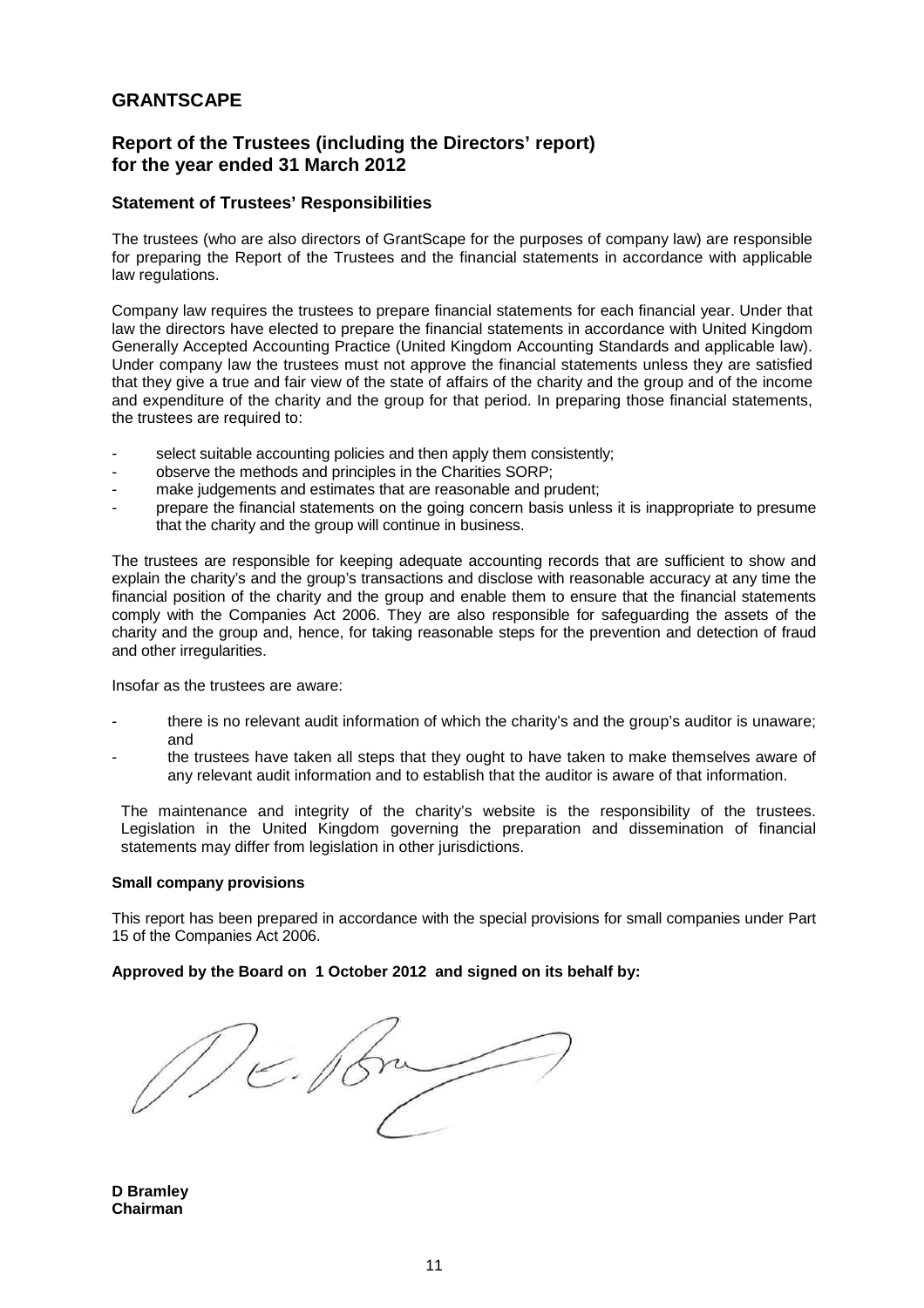# **Report of the Trustees (including the Directors' report) for the year ended 31 March 2012**

## **Statement of Trustees' Responsibilities**

The trustees (who are also directors of GrantScape for the purposes of company law) are responsible for preparing the Report of the Trustees and the financial statements in accordance with applicable law regulations.

Company law requires the trustees to prepare financial statements for each financial year. Under that law the directors have elected to prepare the financial statements in accordance with United Kingdom Generally Accepted Accounting Practice (United Kingdom Accounting Standards and applicable law). Under company law the trustees must not approve the financial statements unless they are satisfied that they give a true and fair view of the state of affairs of the charity and the group and of the income and expenditure of the charity and the group for that period. In preparing those financial statements, the trustees are required to:

- select suitable accounting policies and then apply them consistently:
- observe the methods and principles in the Charities SORP;
- make iudgements and estimates that are reasonable and prudent;
- prepare the financial statements on the going concern basis unless it is inappropriate to presume that the charity and the group will continue in business.

The trustees are responsible for keeping adequate accounting records that are sufficient to show and explain the charity's and the group's transactions and disclose with reasonable accuracy at any time the financial position of the charity and the group and enable them to ensure that the financial statements comply with the Companies Act 2006. They are also responsible for safeguarding the assets of the charity and the group and, hence, for taking reasonable steps for the prevention and detection of fraud and other irregularities.

Insofar as the trustees are aware:

- there is no relevant audit information of which the charity's and the group's auditor is unaware; and
- the trustees have taken all steps that they ought to have taken to make themselves aware of any relevant audit information and to establish that the auditor is aware of that information.

The maintenance and integrity of the charity's website is the responsibility of the trustees. Legislation in the United Kingdom governing the preparation and dissemination of financial statements may differ from legislation in other jurisdictions.

### **Small company provisions**

This report has been prepared in accordance with the special provisions for small companies under Part 15 of the Companies Act 2006.

### **Approved by the Board on 1 October 2012 and signed on its behalf by:**

DE Por

**D Bramley Chairman**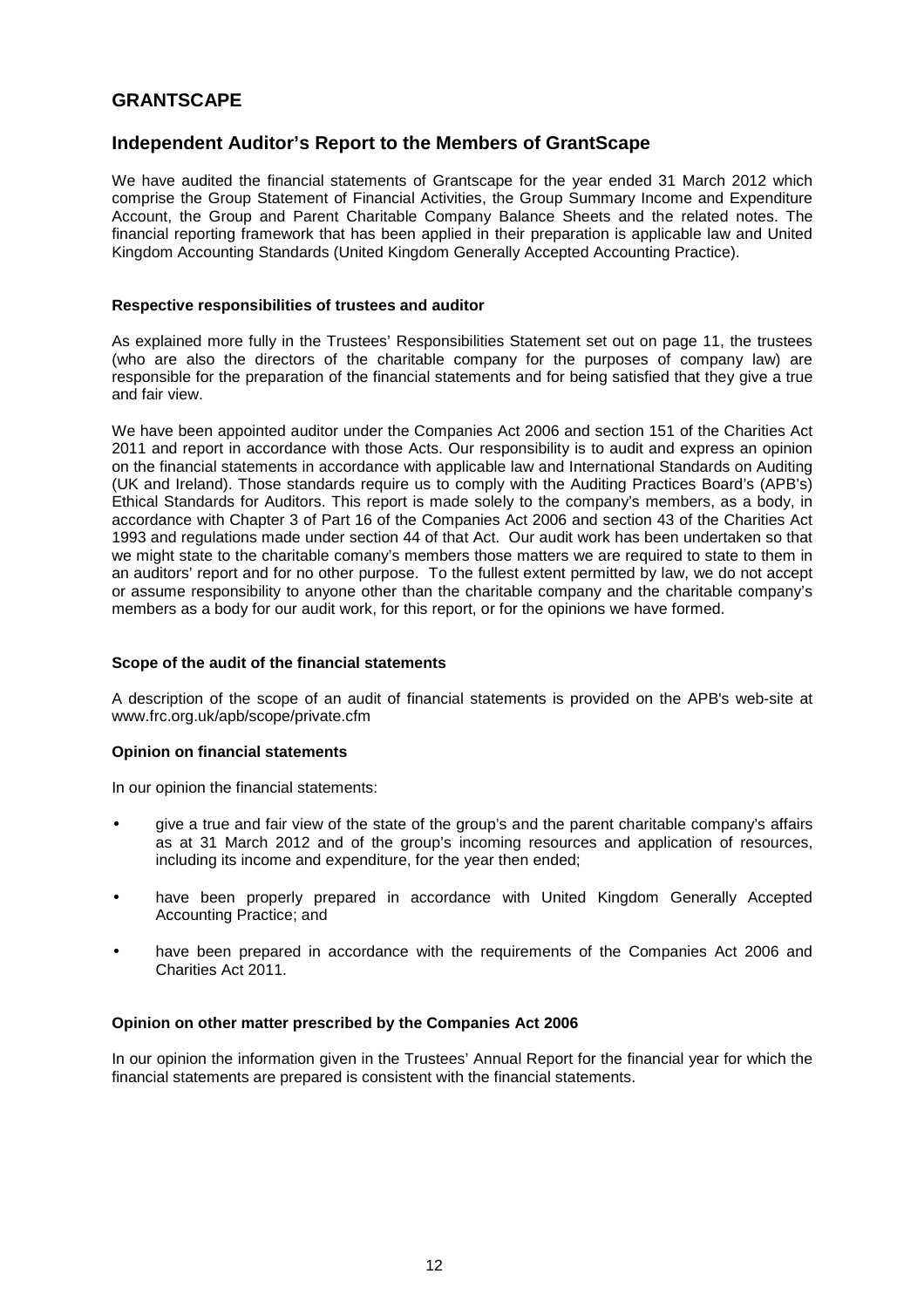# **Independent Auditor's Report to the Members of GrantScape**

We have audited the financial statements of Grantscape for the year ended 31 March 2012 which comprise the Group Statement of Financial Activities, the Group Summary Income and Expenditure Account, the Group and Parent Charitable Company Balance Sheets and the related notes. The financial reporting framework that has been applied in their preparation is applicable law and United Kingdom Accounting Standards (United Kingdom Generally Accepted Accounting Practice).

## **Respective responsibilities of trustees and auditor**

As explained more fully in the Trustees' Responsibilities Statement set out on page 11, the trustees (who are also the directors of the charitable company for the purposes of company law) are responsible for the preparation of the financial statements and for being satisfied that they give a true and fair view.

We have been appointed auditor under the Companies Act 2006 and section 151 of the Charities Act 2011 and report in accordance with those Acts. Our responsibility is to audit and express an opinion on the financial statements in accordance with applicable law and International Standards on Auditing (UK and Ireland). Those standards require us to comply with the Auditing Practices Board's (APB's) Ethical Standards for Auditors. This report is made solely to the company's members, as a body, in accordance with Chapter 3 of Part 16 of the Companies Act 2006 and section 43 of the Charities Act 1993 and regulations made under section 44 of that Act. Our audit work has been undertaken so that we might state to the charitable comany's members those matters we are required to state to them in an auditors' report and for no other purpose. To the fullest extent permitted by law, we do not accept or assume responsibility to anyone other than the charitable company and the charitable company's members as a body for our audit work, for this report, or for the opinions we have formed.

## **Scope of the audit of the financial statements**

A description of the scope of an audit of financial statements is provided on the APB's web-site at www.frc.org.uk/apb/scope/private.cfm

## **Opinion on financial statements**

In our opinion the financial statements:

- give a true and fair view of the state of the group's and the parent charitable company's affairs as at 31 March 2012 and of the group's incoming resources and application of resources, including its income and expenditure, for the year then ended;
- have been properly prepared in accordance with United Kingdom Generally Accepted Accounting Practice; and
- have been prepared in accordance with the requirements of the Companies Act 2006 and Charities Act 2011.

## **Opinion on other matter prescribed by the Companies Act 2006**

In our opinion the information given in the Trustees' Annual Report for the financial year for which the financial statements are prepared is consistent with the financial statements.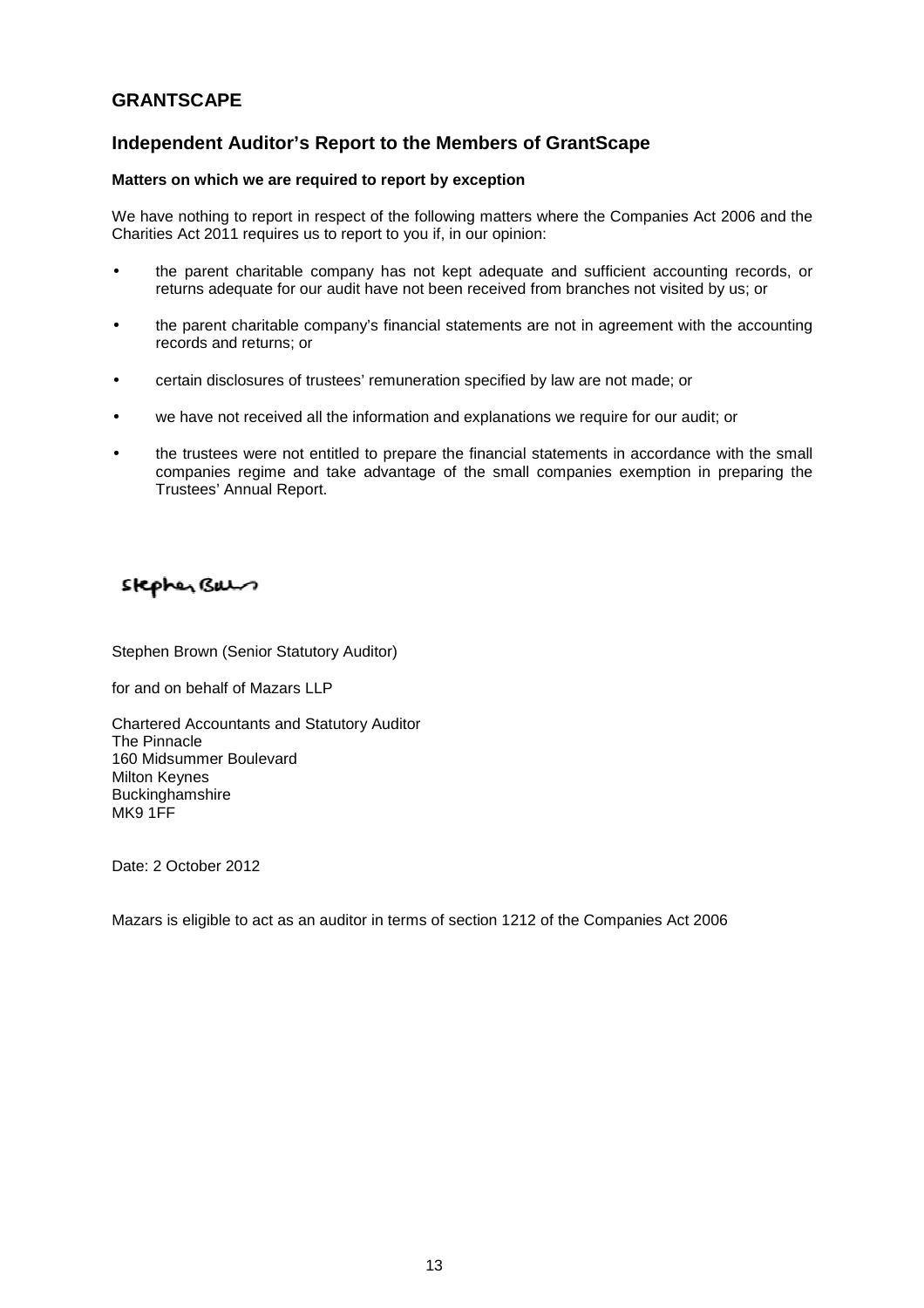# **Independent Auditor's Report to the Members of GrantScape**

## **Matters on which we are required to report by exception**

We have nothing to report in respect of the following matters where the Companies Act 2006 and the Charities Act 2011 requires us to report to you if, in our opinion:

- the parent charitable company has not kept adequate and sufficient accounting records, or returns adequate for our audit have not been received from branches not visited by us; or
- the parent charitable company's financial statements are not in agreement with the accounting records and returns; or
- certain disclosures of trustees' remuneration specified by law are not made; or
- we have not received all the information and explanations we require for our audit; or
- the trustees were not entitled to prepare the financial statements in accordance with the small companies regime and take advantage of the small companies exemption in preparing the Trustees' Annual Report.

# Stephen Buen

Stephen Brown (Senior Statutory Auditor)

for and on behalf of Mazars LLP

Chartered Accountants and Statutory Auditor The Pinnacle 160 Midsummer Boulevard Milton Keynes **Buckinghamshire** MK9 1FF

Date: 2 October 2012

Mazars is eligible to act as an auditor in terms of section 1212 of the Companies Act 2006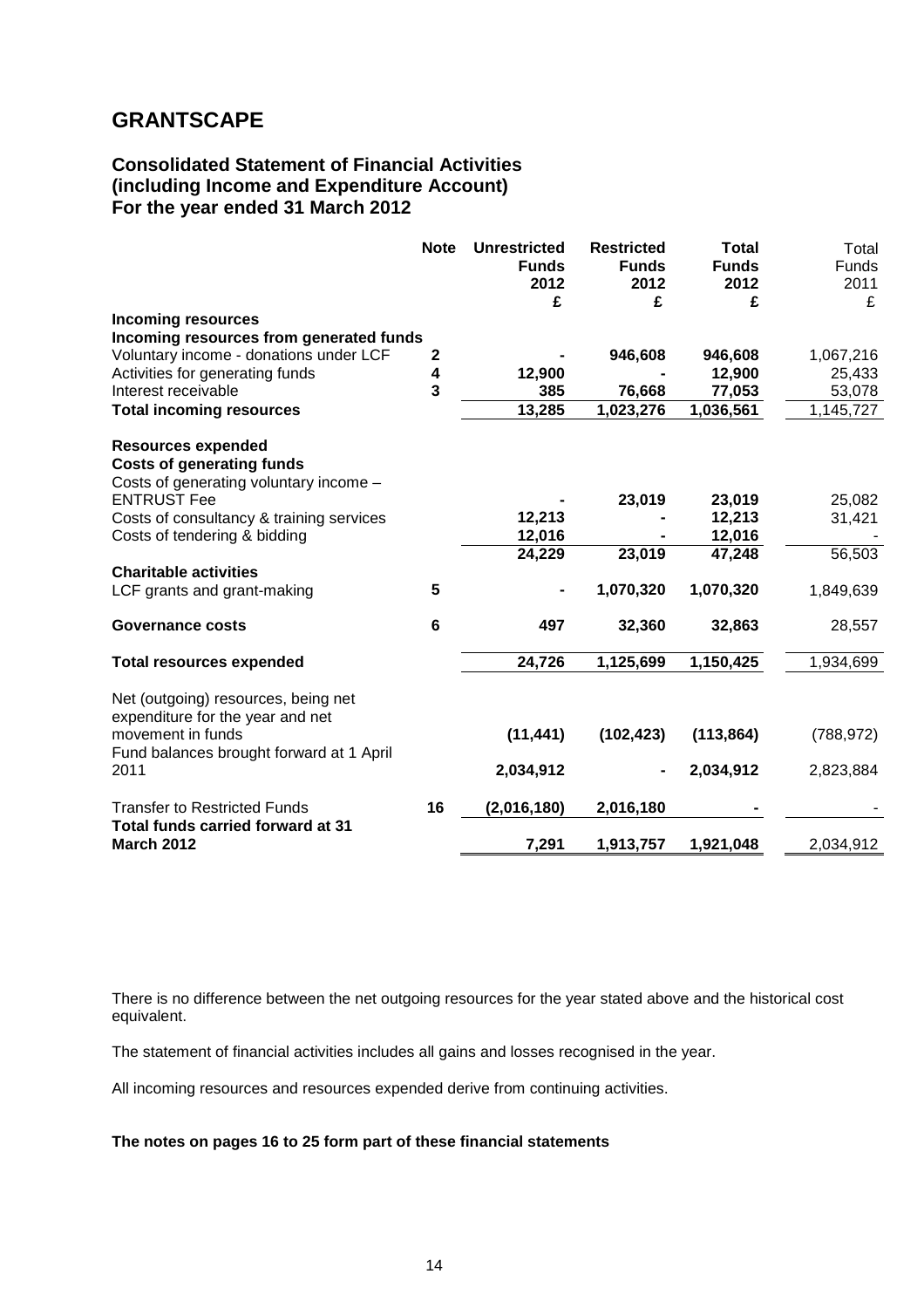# **Consolidated Statement of Financial Activities (including Income and Expenditure Account) For the year ended 31 March 2012**

|                                                                                                                                          | <b>Note</b>             | <b>Unrestricted</b><br><b>Funds</b><br>2012<br>£ | <b>Restricted</b><br><b>Funds</b><br>2012<br>£ | <b>Total</b><br><b>Funds</b><br>2012<br>£ | Total<br><b>Funds</b><br>2011<br>£ |
|------------------------------------------------------------------------------------------------------------------------------------------|-------------------------|--------------------------------------------------|------------------------------------------------|-------------------------------------------|------------------------------------|
| <b>Incoming resources</b>                                                                                                                |                         |                                                  |                                                |                                           |                                    |
| Incoming resources from generated funds                                                                                                  |                         |                                                  |                                                |                                           |                                    |
| Voluntary income - donations under LCF                                                                                                   | $\mathbf{2}$            |                                                  | 946,608                                        | 946,608                                   | 1,067,216                          |
| Activities for generating funds                                                                                                          | 4                       | 12,900                                           |                                                | 12,900                                    | 25,433                             |
| Interest receivable                                                                                                                      | $\overline{\mathbf{3}}$ | 385                                              | 76,668                                         | 77,053                                    | 53,078                             |
| <b>Total incoming resources</b>                                                                                                          |                         | 13,285                                           | 1,023,276                                      | 1,036,561                                 | 1,145,727                          |
| <b>Resources expended</b><br><b>Costs of generating funds</b><br>Costs of generating voluntary income -                                  |                         |                                                  |                                                |                                           |                                    |
| <b>ENTRUST Fee</b>                                                                                                                       |                         |                                                  | 23,019                                         | 23,019                                    | 25,082                             |
| Costs of consultancy & training services                                                                                                 |                         | 12,213                                           |                                                | 12,213                                    | 31,421                             |
| Costs of tendering & bidding                                                                                                             |                         | 12,016                                           |                                                | 12,016                                    |                                    |
|                                                                                                                                          |                         | 24,229                                           | 23,019                                         | 47,248                                    | 56,503                             |
| <b>Charitable activities</b>                                                                                                             |                         |                                                  |                                                |                                           |                                    |
| LCF grants and grant-making                                                                                                              | 5                       |                                                  | 1,070,320                                      | 1,070,320                                 | 1,849,639                          |
| <b>Governance costs</b>                                                                                                                  | 6                       | 497                                              | 32,360                                         | 32,863                                    | 28,557                             |
| <b>Total resources expended</b>                                                                                                          |                         | 24,726                                           | 1,125,699                                      | 1,150,425                                 | 1,934,699                          |
| Net (outgoing) resources, being net<br>expenditure for the year and net<br>movement in funds<br>Fund balances brought forward at 1 April |                         | (11, 441)                                        | (102, 423)                                     | (113, 864)                                | (788, 972)                         |
| 2011                                                                                                                                     |                         | 2,034,912                                        |                                                | 2,034,912                                 | 2,823,884                          |
| <b>Transfer to Restricted Funds</b>                                                                                                      | 16                      | (2,016,180)                                      | 2,016,180                                      |                                           |                                    |
| Total funds carried forward at 31<br><b>March 2012</b>                                                                                   |                         | 7,291                                            | 1,913,757                                      | 1,921,048                                 | 2,034,912                          |

There is no difference between the net outgoing resources for the year stated above and the historical cost equivalent.

The statement of financial activities includes all gains and losses recognised in the year.

All incoming resources and resources expended derive from continuing activities.

## **The notes on pages 16 to 25 form part of these financial statements**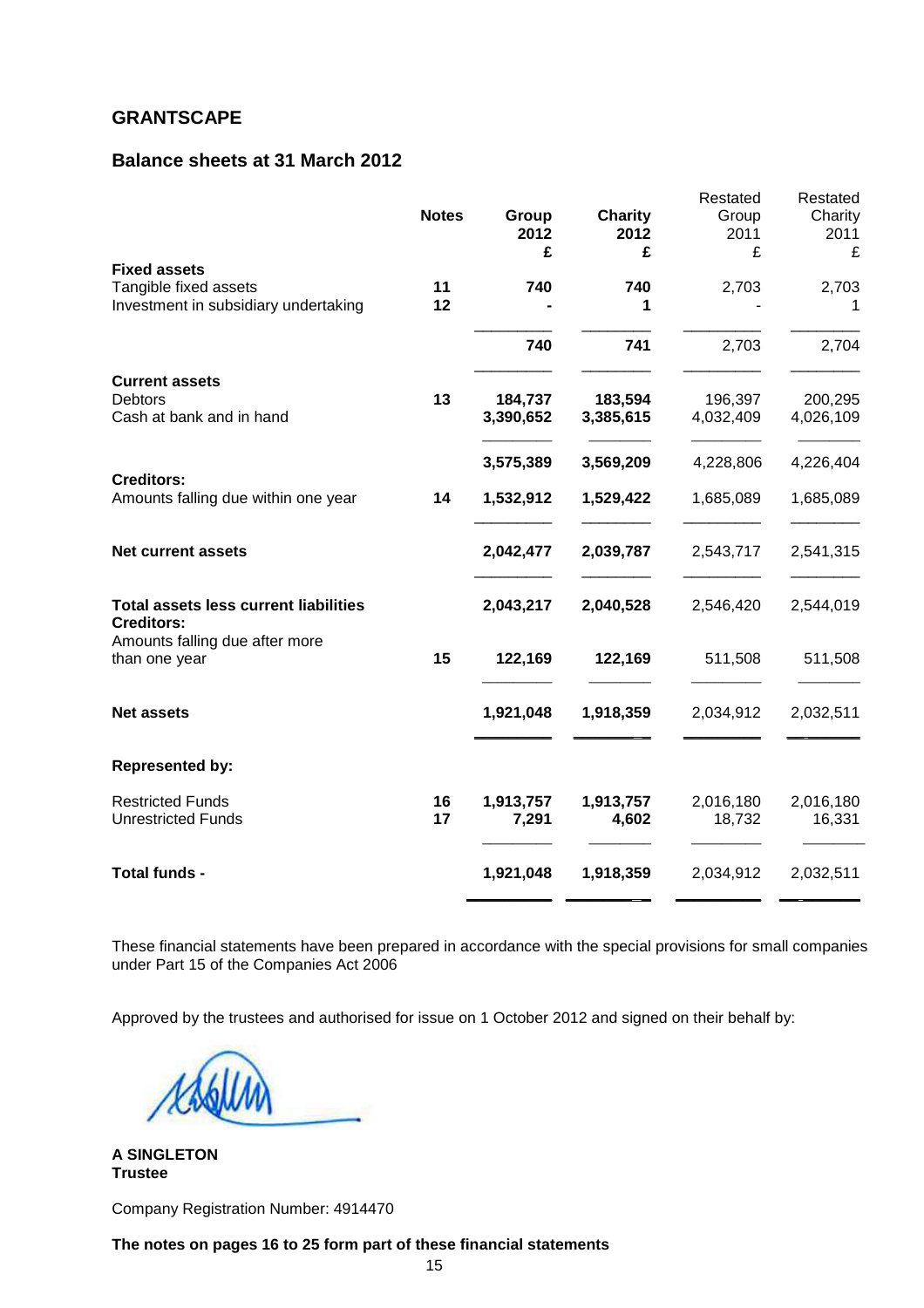# **Balance sheets at 31 March 2012**

|                                                                   | <b>Notes</b> | Group     | <b>Charity</b> | Restated<br>Group | Restated<br>Charity |
|-------------------------------------------------------------------|--------------|-----------|----------------|-------------------|---------------------|
|                                                                   |              | 2012      | 2012           | 2011              | 2011                |
|                                                                   |              | £         | £              | £                 | £                   |
| <b>Fixed assets</b>                                               |              |           |                |                   |                     |
| Tangible fixed assets                                             | 11           | 740       | 740            | 2,703             | 2,703               |
| Investment in subsidiary undertaking                              | 12           |           | 1              |                   | 1                   |
|                                                                   |              | 740       | 741            | 2,703             | 2,704               |
| <b>Current assets</b>                                             |              |           |                |                   |                     |
| <b>Debtors</b>                                                    | 13           | 184,737   | 183,594        | 196,397           | 200,295             |
| Cash at bank and in hand                                          |              | 3,390,652 | 3,385,615      | 4,032,409         | 4,026,109           |
|                                                                   |              | 3,575,389 | 3,569,209      | 4,228,806         | 4,226,404           |
| <b>Creditors:</b>                                                 |              |           |                |                   |                     |
| Amounts falling due within one year                               | 14           | 1,532,912 | 1,529,422      | 1,685,089         | 1,685,089           |
| <b>Net current assets</b>                                         |              | 2,042,477 | 2,039,787      | 2,543,717         | 2,541,315           |
| <b>Total assets less current liabilities</b><br><b>Creditors:</b> |              | 2,043,217 | 2,040,528      | 2,546,420         | 2,544,019           |
| Amounts falling due after more<br>than one year                   | 15           | 122,169   | 122,169        | 511,508           | 511,508             |
| <b>Net assets</b>                                                 |              | 1,921,048 | 1,918,359      | 2,034,912         | 2,032,511           |
|                                                                   |              |           |                |                   |                     |
| <b>Represented by:</b>                                            |              |           |                |                   |                     |
| <b>Restricted Funds</b>                                           | 16           | 1,913,757 | 1,913,757      | 2,016,180         | 2,016,180           |
| <b>Unrestricted Funds</b>                                         | 17           | 7,291     | 4,602          | 18,732            | 16,331              |
| Total funds -                                                     |              | 1,921,048 | 1,918,359      | 2,034,912         | 2,032,511           |
|                                                                   |              |           |                |                   |                     |

These financial statements have been prepared in accordance with the special provisions for small companies under Part 15 of the Companies Act 2006

Approved by the trustees and authorised for issue on 1 October 2012 and signed on their behalf by:

**A SINGLETON Trustee** 

Company Registration Number: 4914470

**The notes on pages 16 to 25 form part of these financial statements**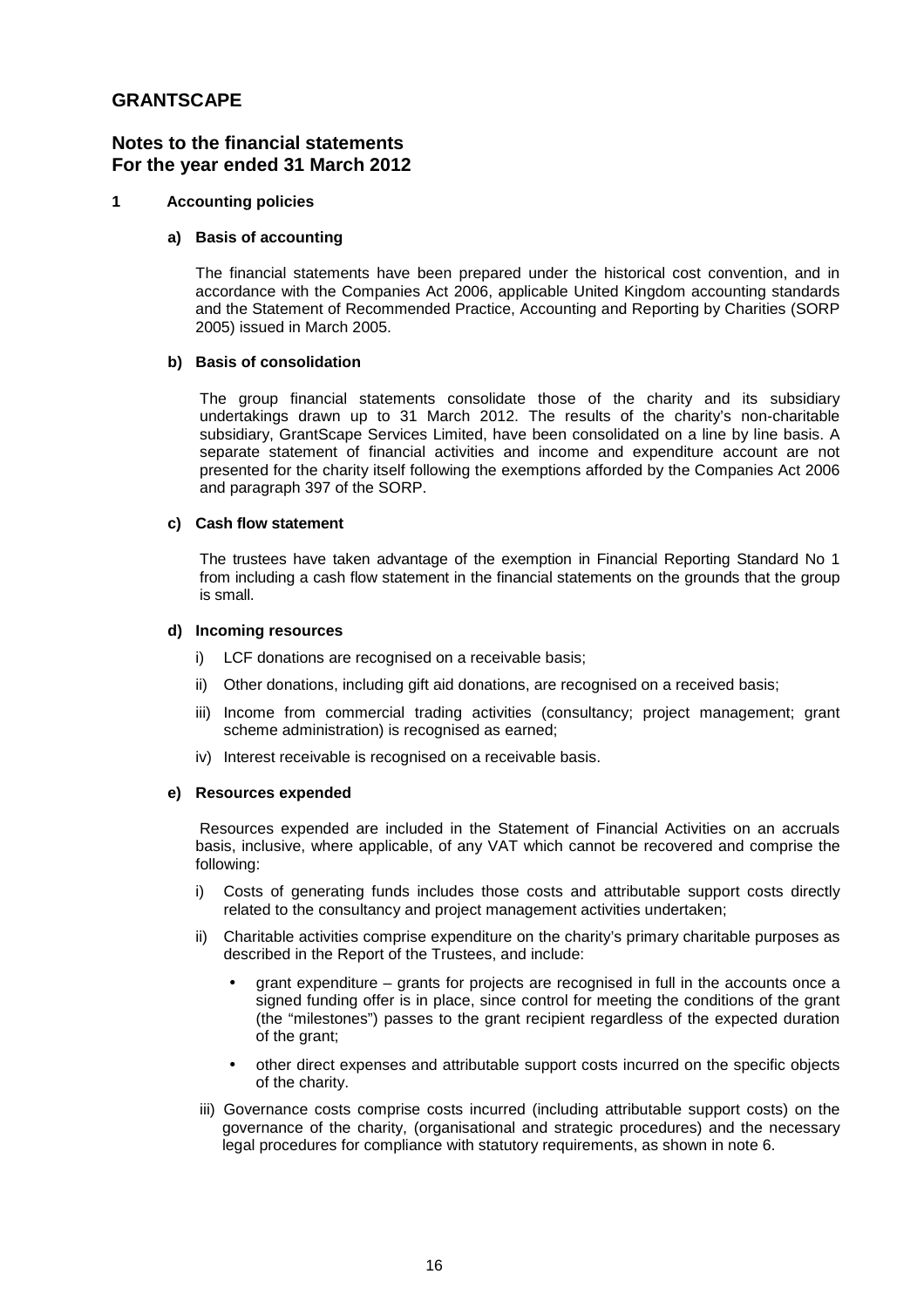## **Notes to the financial statements For the year ended 31 March 2012**

## **1 Accounting policies**

## **a) Basis of accounting**

The financial statements have been prepared under the historical cost convention, and in accordance with the Companies Act 2006, applicable United Kingdom accounting standards and the Statement of Recommended Practice, Accounting and Reporting by Charities (SORP 2005) issued in March 2005.

## **b) Basis of consolidation**

 The group financial statements consolidate those of the charity and its subsidiary undertakings drawn up to 31 March 2012. The results of the charity's non-charitable subsidiary, GrantScape Services Limited, have been consolidated on a line by line basis. A separate statement of financial activities and income and expenditure account are not presented for the charity itself following the exemptions afforded by the Companies Act 2006 and paragraph 397 of the SORP.

### **c) Cash flow statement**

The trustees have taken advantage of the exemption in Financial Reporting Standard No 1 from including a cash flow statement in the financial statements on the grounds that the group is small.

### **d) Incoming resources**

- i) LCF donations are recognised on a receivable basis;
- ii) Other donations, including gift aid donations, are recognised on a received basis;
- iii) Income from commercial trading activities (consultancy; project management; grant scheme administration) is recognised as earned;
- iv) Interest receivable is recognised on a receivable basis.

### **e) Resources expended**

Resources expended are included in the Statement of Financial Activities on an accruals basis, inclusive, where applicable, of any VAT which cannot be recovered and comprise the following:

- i) Costs of generating funds includes those costs and attributable support costs directly related to the consultancy and project management activities undertaken;
- Charitable activities comprise expenditure on the charity's primary charitable purposes as described in the Report of the Trustees, and include:
	- grant expenditure grants for projects are recognised in full in the accounts once a signed funding offer is in place, since control for meeting the conditions of the grant (the "milestones") passes to the grant recipient regardless of the expected duration of the grant;
	- other direct expenses and attributable support costs incurred on the specific objects of the charity.
- iii) Governance costs comprise costs incurred (including attributable support costs) on the governance of the charity, (organisational and strategic procedures) and the necessary legal procedures for compliance with statutory requirements, as shown in note 6.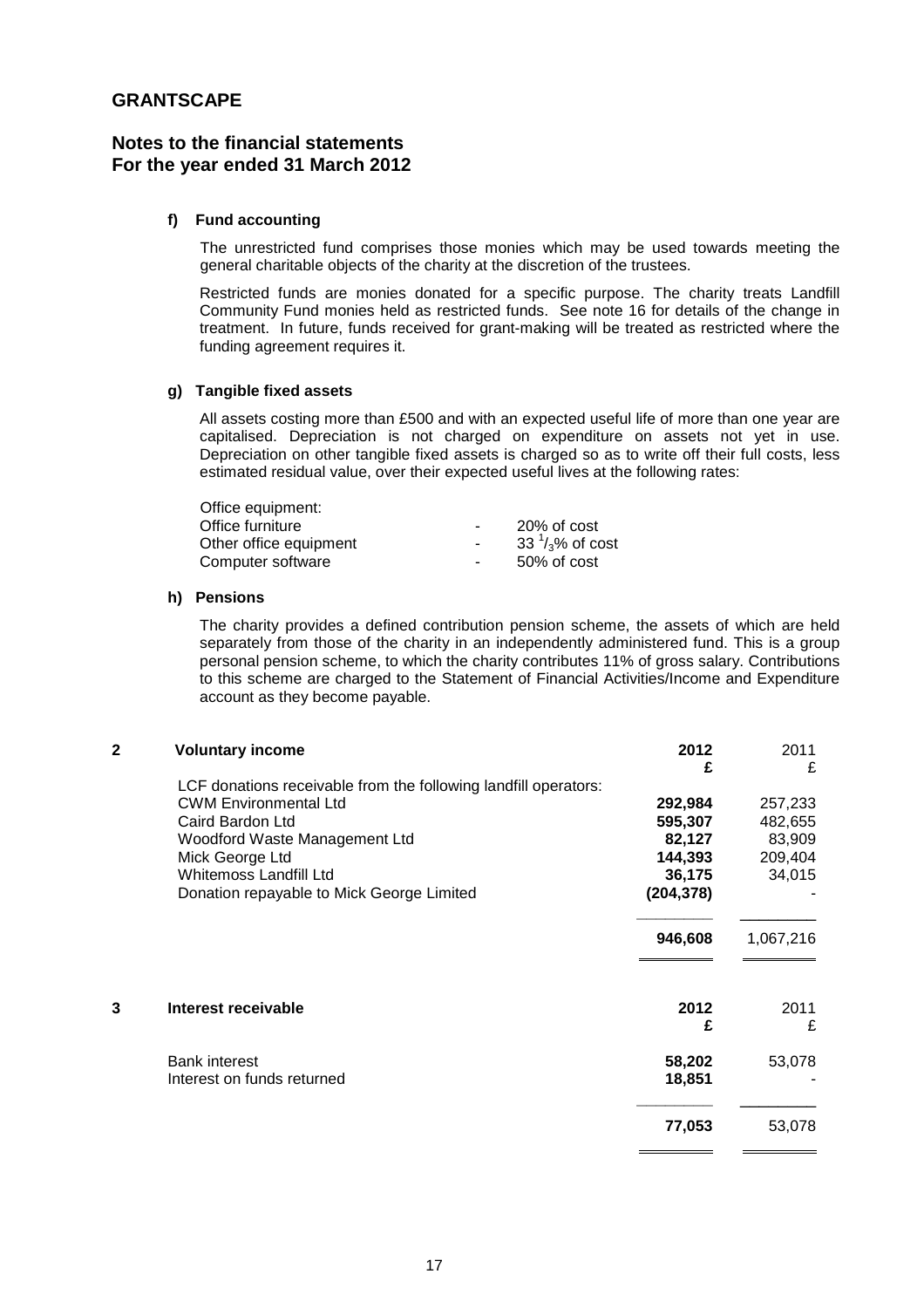# **Notes to the financial statements For the year ended 31 March 2012**

## **f) Fund accounting**

The unrestricted fund comprises those monies which may be used towards meeting the general charitable objects of the charity at the discretion of the trustees.

Restricted funds are monies donated for a specific purpose. The charity treats Landfill Community Fund monies held as restricted funds. See note 16 for details of the change in treatment. In future, funds received for grant-making will be treated as restricted where the funding agreement requires it.

### **g) Tangible fixed assets**

 All assets costing more than £500 and with an expected useful life of more than one year are capitalised. Depreciation is not charged on expenditure on assets not yet in use. Depreciation on other tangible fixed assets is charged so as to write off their full costs, less estimated residual value, over their expected useful lives at the following rates:

| Office equipment:      |                 |                            |
|------------------------|-----------------|----------------------------|
| Office furniture       | $\sim$ 10 $\pm$ | 20% of cost                |
| Other office equipment | $\sim$ 10 $\pm$ | 33 $\frac{1}{3}$ % of cost |
| Computer software      | $\sim$ 10 $\,$  | 50% of cost                |

#### **h) Pensions**

The charity provides a defined contribution pension scheme, the assets of which are held separately from those of the charity in an independently administered fund. This is a group personal pension scheme, to which the charity contributes 11% of gross salary. Contributions to this scheme are charged to the Statement of Financial Activities/Income and Expenditure account as they become payable.

#### **2 Voluntary income 2012** 2011

|                                                                 | £                | £         |
|-----------------------------------------------------------------|------------------|-----------|
| LCF donations receivable from the following landfill operators: |                  |           |
| <b>CWM Environmental Ltd</b>                                    | 292,984          | 257,233   |
| Caird Bardon Ltd                                                | 595,307          | 482,655   |
| Woodford Waste Management Ltd                                   | 82,127           | 83,909    |
| Mick George Ltd                                                 | 144,393          | 209,404   |
| Whitemoss Landfill Ltd                                          | 36,175           | 34,015    |
| Donation repayable to Mick George Limited                       | (204, 378)       |           |
|                                                                 | 946,608          | 1,067,216 |
| 3<br>Interest receivable                                        | 2012<br>£        | 2011<br>£ |
| <b>Bank interest</b><br>Interest on funds returned              | 58,202<br>18,851 | 53,078    |
|                                                                 | 77,053           | 53,078    |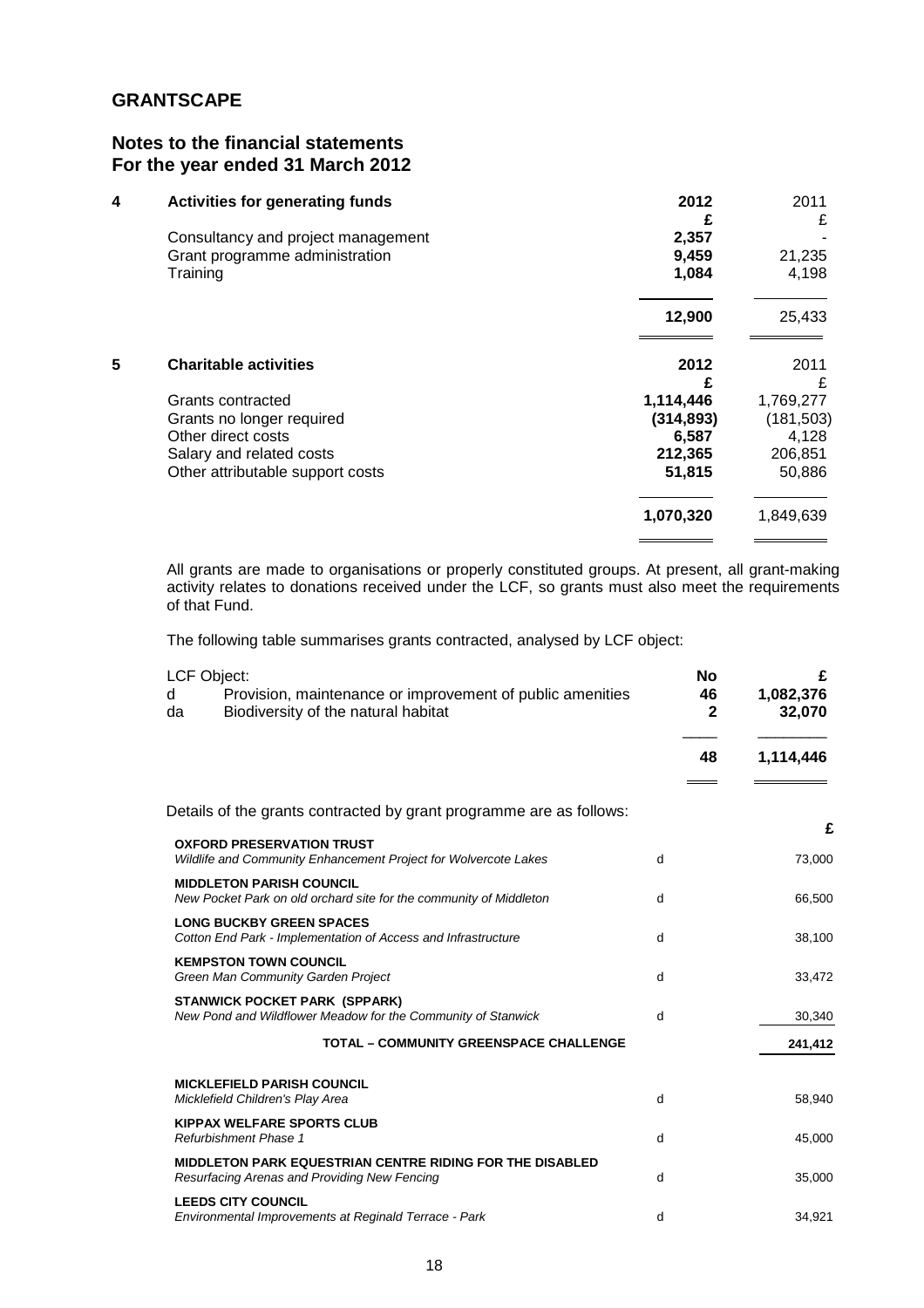# **Notes to the financial statements For the year ended 31 March 2012**

| <b>Activities for generating funds</b> | 2012<br>£                                                                                                              | 2011<br>£                                      |
|----------------------------------------|------------------------------------------------------------------------------------------------------------------------|------------------------------------------------|
|                                        |                                                                                                                        |                                                |
|                                        |                                                                                                                        | 21,235                                         |
| Training                               | 1,084                                                                                                                  | 4,198                                          |
|                                        | 12,900                                                                                                                 | 25,433                                         |
| <b>Charitable activities</b>           | 2012                                                                                                                   | 2011<br>£                                      |
|                                        |                                                                                                                        | 1,769,277                                      |
|                                        |                                                                                                                        | (181, 503)                                     |
| Other direct costs                     | 6,587                                                                                                                  | 4,128                                          |
| Salary and related costs               | 212,365                                                                                                                | 206,851                                        |
| Other attributable support costs       | 51,815                                                                                                                 | 50,886                                         |
|                                        | 1,070,320                                                                                                              | 1,849,639                                      |
|                                        | Consultancy and project management<br>Grant programme administration<br>Grants contracted<br>Grants no longer required | 2,357<br>9,459<br>£<br>1,114,446<br>(314, 893) |

All grants are made to organisations or properly constituted groups. At present, all grant-making activity relates to donations received under the LCF, so grants must also meet the requirements of that Fund.

The following table summarises grants contracted, analysed by LCF object:

| <b>LCF Object:</b><br>Provision, maintenance or improvement of public amenities<br>d<br>Biodiversity of the natural habitat<br>da |   | <b>No</b><br>46<br>$\mathbf{2}$ | £<br>1,082,376<br>32,070 |
|-----------------------------------------------------------------------------------------------------------------------------------|---|---------------------------------|--------------------------|
|                                                                                                                                   |   | 48                              | 1,114,446                |
| Details of the grants contracted by grant programme are as follows:                                                               |   |                                 |                          |
| <b>OXFORD PRESERVATION TRUST</b><br>Wildlife and Community Enhancement Project for Wolvercote Lakes                               | d |                                 | £<br>73,000              |
| <b>MIDDLETON PARISH COUNCIL</b><br>New Pocket Park on old orchard site for the community of Middleton                             | d |                                 | 66,500                   |
| <b>LONG BUCKBY GREEN SPACES</b><br>Cotton End Park - Implementation of Access and Infrastructure                                  | d |                                 | 38,100                   |
| <b>KEMPSTON TOWN COUNCIL</b><br>Green Man Community Garden Project                                                                | d |                                 | 33,472                   |
| <b>STANWICK POCKET PARK (SPPARK)</b><br>New Pond and Wildflower Meadow for the Community of Stanwick                              | d |                                 | 30,340                   |
| <b>TOTAL - COMMUNITY GREENSPACE CHALLENGE</b>                                                                                     |   |                                 | 241,412                  |
| <b>MICKLEFIELD PARISH COUNCIL</b><br>Micklefield Children's Play Area                                                             | d |                                 | 58,940                   |
| <b>KIPPAX WELFARE SPORTS CLUB</b><br><b>Refurbishment Phase 1</b>                                                                 | d |                                 | 45,000                   |
| MIDDLETON PARK EQUESTRIAN CENTRE RIDING FOR THE DISABLED<br>Resurfacing Arenas and Providing New Fencing                          | d |                                 | 35,000                   |
| <b>LEEDS CITY COUNCIL</b><br>Environmental Improvements at Reginald Terrace - Park                                                | d |                                 | 34,921                   |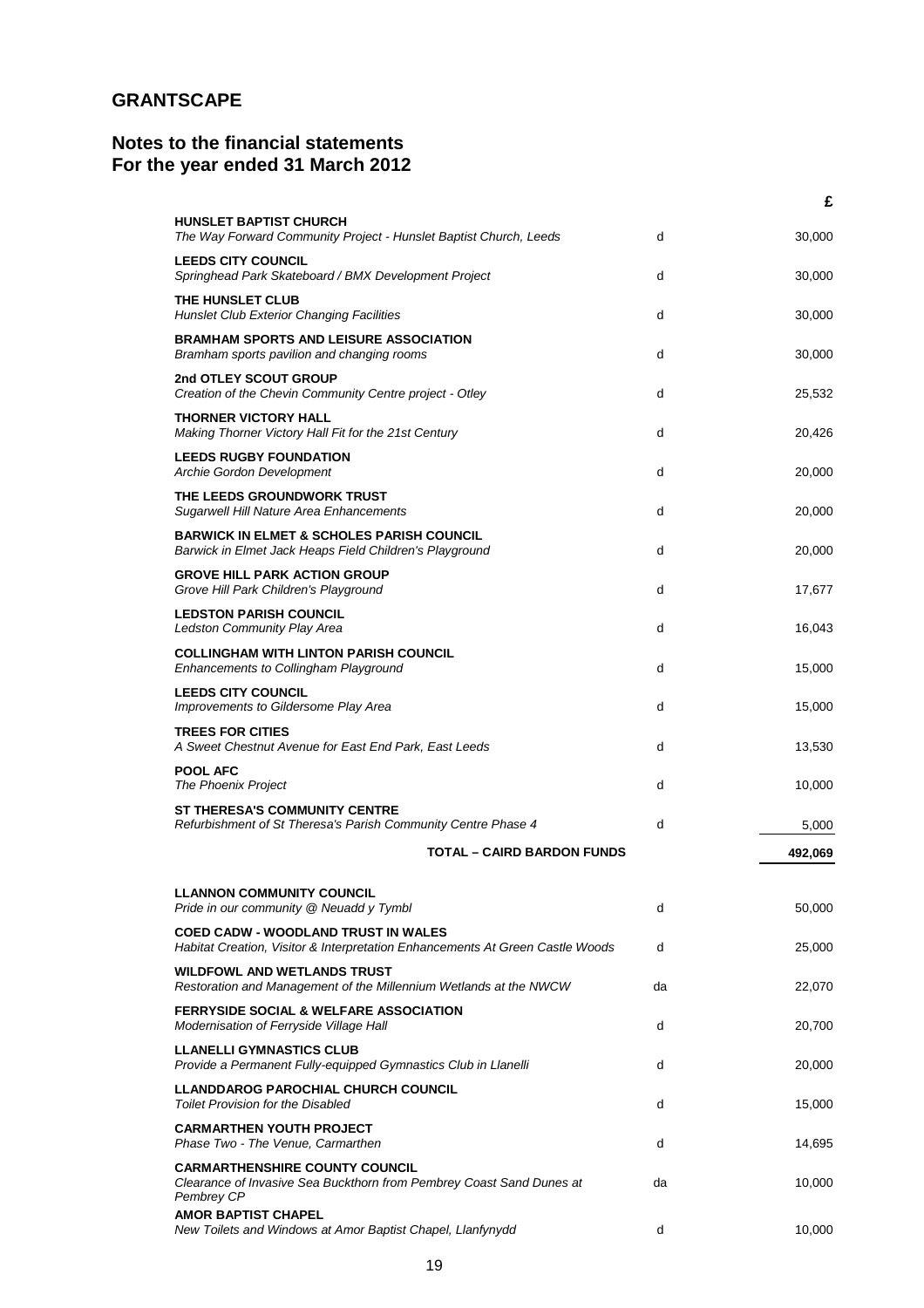# **Notes to the financial statements For the year ended 31 March 2012**

|                                                                                                                             |    | £       |
|-----------------------------------------------------------------------------------------------------------------------------|----|---------|
| <b>HUNSLET BAPTIST CHURCH</b><br>The Way Forward Community Project - Hunslet Baptist Church, Leeds                          | d  | 30,000  |
| <b>LEEDS CITY COUNCIL</b><br>Springhead Park Skateboard / BMX Development Project                                           | d  | 30,000  |
| THE HUNSLET CLUB<br>Hunslet Club Exterior Changing Facilities                                                               | d  | 30,000  |
| <b>BRAMHAM SPORTS AND LEISURE ASSOCIATION</b><br>Bramham sports pavilion and changing rooms                                 | d  | 30,000  |
| 2nd OTLEY SCOUT GROUP<br>Creation of the Chevin Community Centre project - Otley                                            | d  | 25,532  |
| <b>THORNER VICTORY HALL</b><br>Making Thorner Victory Hall Fit for the 21st Century                                         | d  | 20,426  |
| <b>LEEDS RUGBY FOUNDATION</b><br>Archie Gordon Development                                                                  | d  | 20,000  |
| THE LEEDS GROUNDWORK TRUST<br>Sugarwell Hill Nature Area Enhancements                                                       | d  | 20,000  |
| <b>BARWICK IN ELMET &amp; SCHOLES PARISH COUNCIL</b><br>Barwick in Elmet Jack Heaps Field Children's Playground             | d  | 20,000  |
| <b>GROVE HILL PARK ACTION GROUP</b><br>Grove Hill Park Children's Playground                                                | d  | 17,677  |
| <b>LEDSTON PARISH COUNCIL</b><br>Ledston Community Play Area                                                                | d  | 16,043  |
| <b>COLLINGHAM WITH LINTON PARISH COUNCIL</b><br>Enhancements to Collingham Playground                                       | d  | 15,000  |
| <b>LEEDS CITY COUNCIL</b><br>Improvements to Gildersome Play Area                                                           | d  | 15,000  |
| <b>TREES FOR CITIES</b><br>A Sweet Chestnut Avenue for East End Park, East Leeds                                            | d  | 13,530  |
| <b>POOL AFC</b><br>The Phoenix Project                                                                                      | d  | 10,000  |
| <b>ST THERESA'S COMMUNITY CENTRE</b><br>Refurbishment of St Theresa's Parish Community Centre Phase 4                       | d  | 5,000   |
| <b>TOTAL - CAIRD BARDON FUNDS</b>                                                                                           |    | 492,069 |
|                                                                                                                             |    |         |
| <b>LLANNON COMMUNITY COUNCIL</b><br>Pride in our community @ Neuadd y Tymbl                                                 | d  | 50,000  |
| <b>COED CADW - WOODLAND TRUST IN WALES</b><br>Habitat Creation, Visitor & Interpretation Enhancements At Green Castle Woods | d  | 25,000  |
| <b>WILDFOWL AND WETLANDS TRUST</b><br>Restoration and Management of the Millennium Wetlands at the NWCW                     | da | 22,070  |
| <b>FERRYSIDE SOCIAL &amp; WELFARE ASSOCIATION</b><br>Modernisation of Ferryside Village Hall                                | d  | 20,700  |
| <b>LLANELLI GYMNASTICS CLUB</b><br>Provide a Permanent Fully-equipped Gymnastics Club in Llanelli                           | d  | 20,000  |
| LLANDDAROG PAROCHIAL CHURCH COUNCIL<br><b>Toilet Provision for the Disabled</b>                                             | d  | 15,000  |
| <b>CARMARTHEN YOUTH PROJECT</b><br>Phase Two - The Venue, Carmarthen                                                        | d  | 14,695  |
| <b>CARMARTHENSHIRE COUNTY COUNCIL</b><br>Clearance of Invasive Sea Buckthorn from Pembrey Coast Sand Dunes at<br>Pembrey CP | da | 10,000  |
| <b>AMOR BAPTIST CHAPEL</b><br>New Toilets and Windows at Amor Baptist Chapel, Llanfynydd                                    | d  | 10,000  |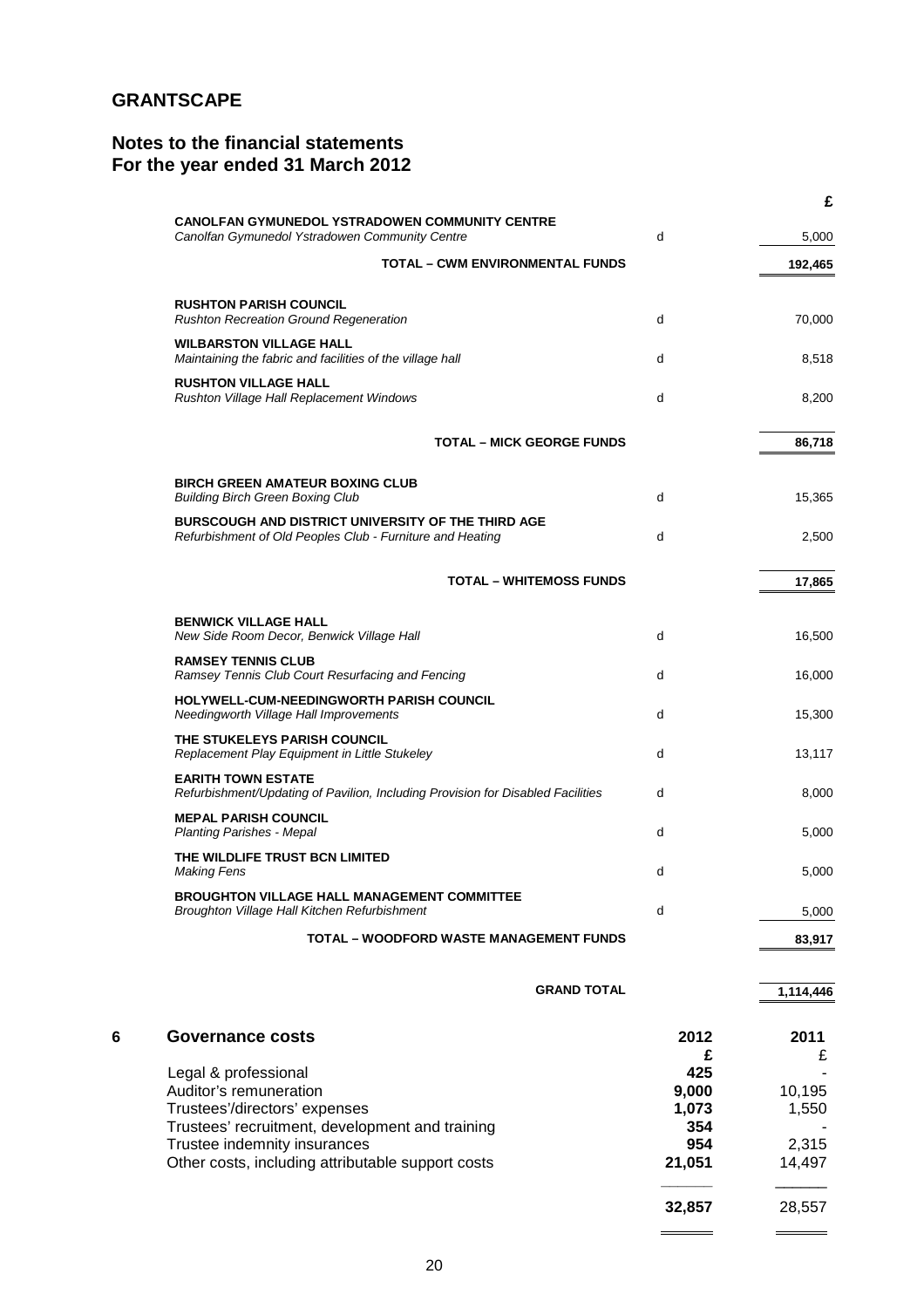# **Notes to the financial statements For the year ended 31 March 2012**

|   |                                                                                                                 |              | £         |
|---|-----------------------------------------------------------------------------------------------------------------|--------------|-----------|
|   | CANOLFAN GYMUNEDOL YSTRADOWEN COMMUNITY CENTRE<br>Canolfan Gymunedol Ystradowen Community Centre                | d            | 5,000     |
|   | <b>TOTAL - CWM ENVIRONMENTAL FUNDS</b>                                                                          |              | 192,465   |
|   | <b>RUSHTON PARISH COUNCIL</b><br><b>Rushton Recreation Ground Regeneration</b>                                  | d            | 70,000    |
|   | <b>WILBARSTON VILLAGE HALL</b><br>Maintaining the fabric and facilities of the village hall                     | d            | 8,518     |
|   | <b>RUSHTON VILLAGE HALL</b><br>Rushton Village Hall Replacement Windows                                         | d            | 8,200     |
|   | <b>TOTAL – MICK GEORGE FUNDS</b>                                                                                |              | 86,718    |
|   | <b>BIRCH GREEN AMATEUR BOXING CLUB</b><br><b>Building Birch Green Boxing Club</b>                               | d            | 15,365    |
|   | BURSCOUGH AND DISTRICT UNIVERSITY OF THE THIRD AGE<br>Refurbishment of Old Peoples Club - Furniture and Heating | d            | 2,500     |
|   | <b>TOTAL - WHITEMOSS FUNDS</b>                                                                                  |              | 17,865    |
|   | <b>BENWICK VILLAGE HALL</b>                                                                                     |              |           |
|   | New Side Room Decor, Benwick Village Hall                                                                       | d            | 16,500    |
|   | <b>RAMSEY TENNIS CLUB</b><br>Ramsey Tennis Club Court Resurfacing and Fencing                                   | d            | 16,000    |
|   | HOLYWELL-CUM-NEEDINGWORTH PARISH COUNCIL<br>Needingworth Village Hall Improvements                              | d            | 15,300    |
|   | THE STUKELEYS PARISH COUNCIL<br>Replacement Play Equipment in Little Stukeley                                   | d            | 13,117    |
|   | <b>EARITH TOWN ESTATE</b><br>Refurbishment/Updating of Pavilion, Including Provision for Disabled Facilities    | d            | 8,000     |
|   | <b>MEPAL PARISH COUNCIL</b><br><b>Planting Parishes - Mepal</b>                                                 | d            | 5,000     |
|   | THE WILDLIFE TRUST BCN LIMITED<br><b>Making Fens</b>                                                            | d            | 5,000     |
|   | BROUGHTON VILLAGE HALL MANAGEMENT COMMITTEE<br>Broughton Village Hall Kitchen Refurbishment                     | d            | 5,000     |
|   | <b>TOTAL - WOODFORD WASTE MANAGEMENT FUNDS</b>                                                                  |              | 83,917    |
|   | <b>GRAND TOTAL</b>                                                                                              |              | 1,114,446 |
| 6 | <b>Governance costs</b>                                                                                         | 2012<br>£    | 2011<br>£ |
|   | Legal & professional                                                                                            | 425          |           |
|   | Auditor's remuneration                                                                                          | 9,000        | 10,195    |
|   | Trustees'/directors' expenses<br>Trustees' recruitment, development and training                                | 1,073<br>354 | 1,550     |
|   | Trustee indemnity insurances                                                                                    | 954          | 2,315     |
|   | Other costs, including attributable support costs                                                               | 21,051       | 14,497    |
|   |                                                                                                                 |              |           |

**32,857** 28,557

 $\overline{\phantom{a}}$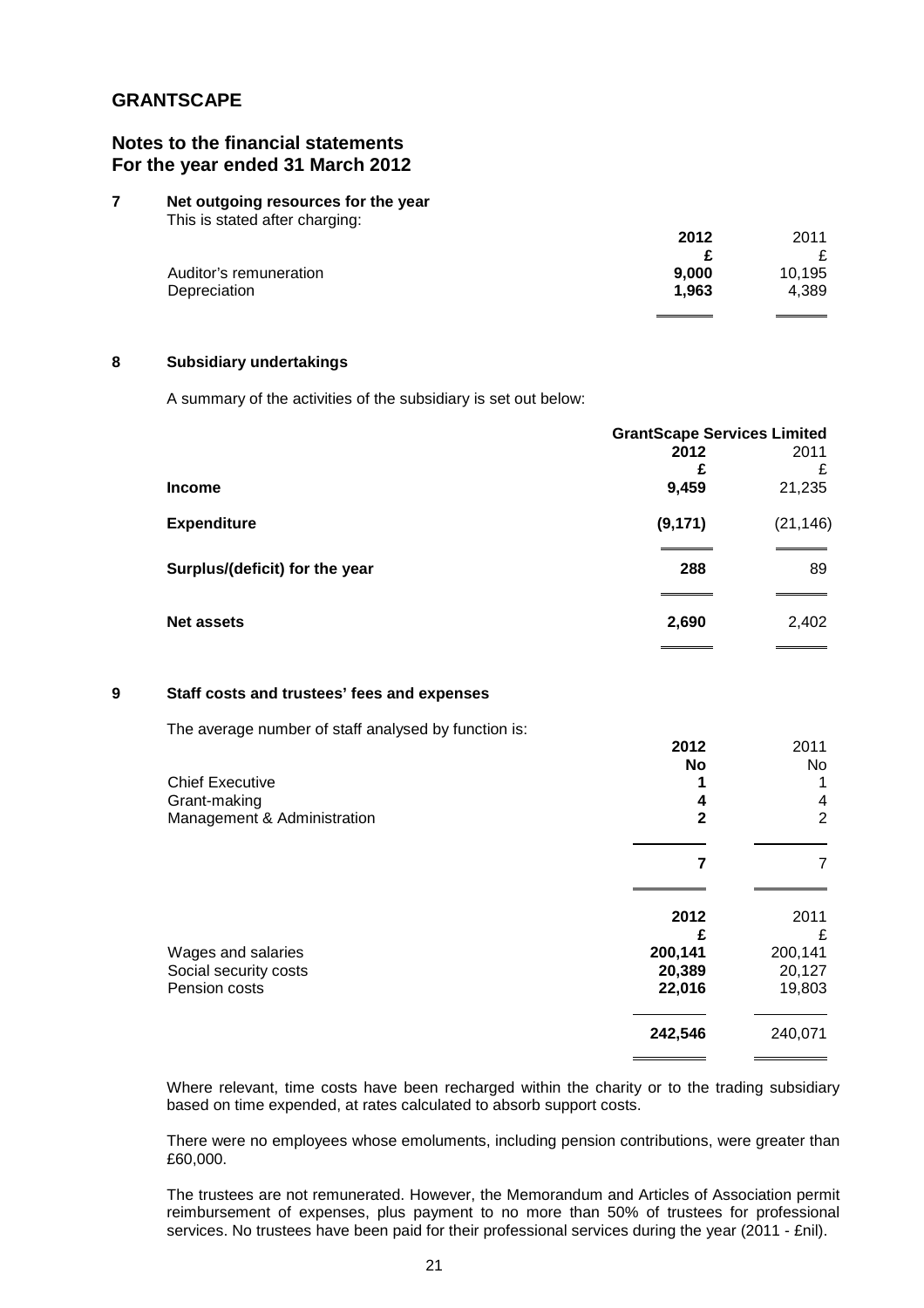# **Notes to the financial statements For the year ended 31 March 2012**

#### **7 Net outgoing resources for the year**  This is stated after charging:

| 2012  | 2011   |
|-------|--------|
|       |        |
| 9,000 | 10,195 |
| 1.963 | 4,389  |
|       |        |

## **8 Subsidiary undertakings**

A summary of the activities of the subsidiary is set out below:

|                                | <b>GrantScape Services Limited</b> |           |  |
|--------------------------------|------------------------------------|-----------|--|
|                                | 2012                               | 2011      |  |
|                                | £                                  | £         |  |
| <b>Income</b>                  | 9,459                              | 21,235    |  |
| <b>Expenditure</b>             | (9, 171)                           | (21, 146) |  |
| Surplus/(deficit) for the year | 288                                | 89        |  |
|                                |                                    |           |  |
| <b>Net assets</b>              | 2,690                              | 2,402     |  |

## **9 Staff costs and trustees' fees and expenses**

The average number of staff analysed by function is:

| 2012      | 2011      |
|-----------|-----------|
| <b>No</b> | <b>No</b> |
|           |           |
| 4         | 4         |
| 2         | 2         |
|           |           |
| 2012      | 2011      |
|           | £         |
| 200,141   | 200,141   |
| 20,389    | 20,127    |
| 22,016    | 19,803    |
| 242,546   | 240,071   |
|           |           |

Where relevant, time costs have been recharged within the charity or to the trading subsidiary based on time expended, at rates calculated to absorb support costs.

There were no employees whose emoluments, including pension contributions, were greater than £60,000.

The trustees are not remunerated. However, the Memorandum and Articles of Association permit reimbursement of expenses, plus payment to no more than 50% of trustees for professional services. No trustees have been paid for their professional services during the year (2011 - £nil).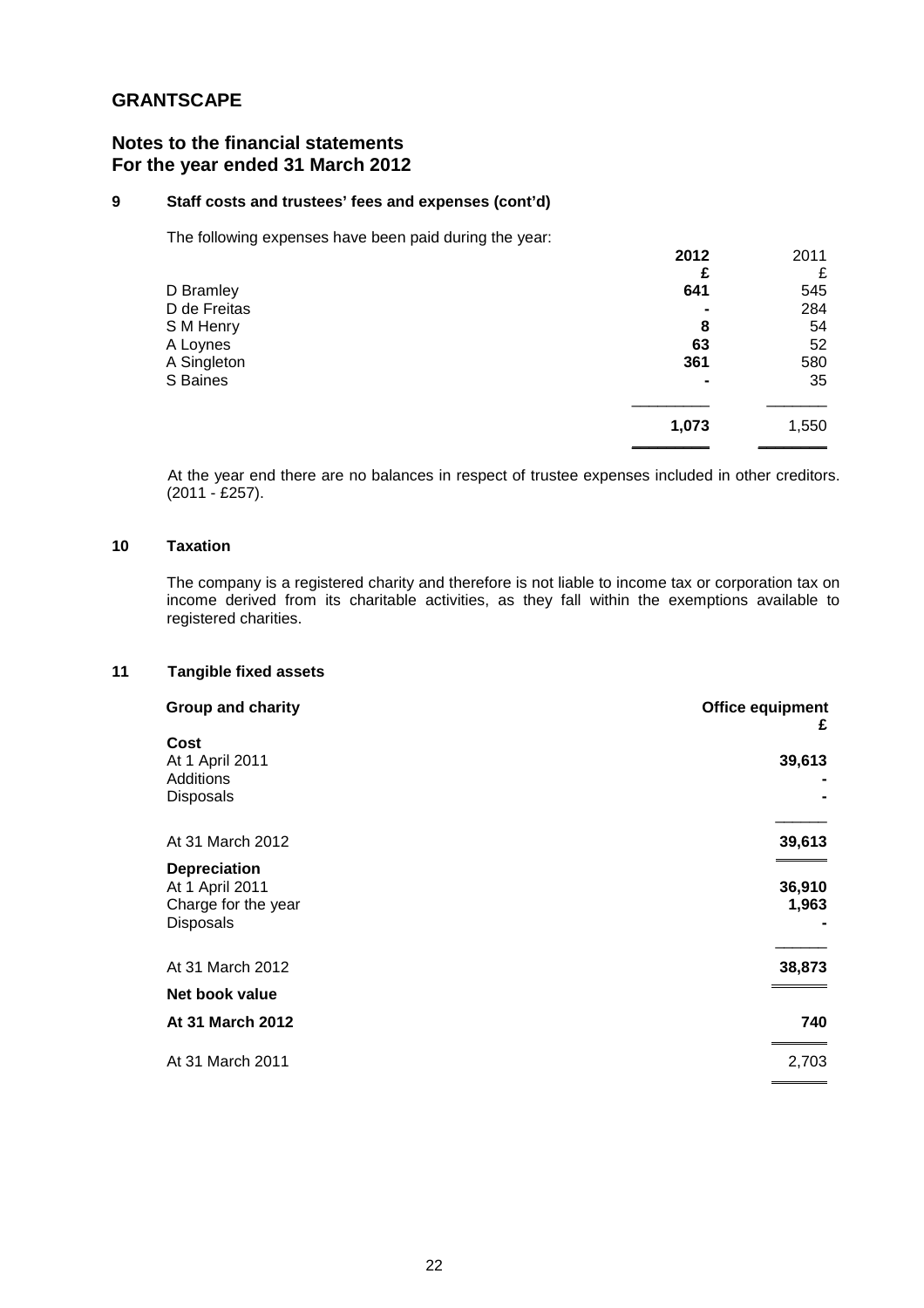# **Notes to the financial statements For the year ended 31 March 2012**

## **9 Staff costs and trustees' fees and expenses (cont'd)**

The following expenses have been paid during the year:

|              | 2012  | 2011  |
|--------------|-------|-------|
|              |       | £     |
| D Bramley    | 641   | 545   |
| D de Freitas |       | 284   |
| S M Henry    | 8     | 54    |
| A Loynes     | 63    | 52    |
| A Singleton  | 361   | 580   |
| S Baines     | ۰     | 35    |
|              | 1,073 | 1,550 |
|              |       |       |

At the year end there are no balances in respect of trustee expenses included in other creditors. (2011 - £257).

## **10 Taxation**

The company is a registered charity and therefore is not liable to income tax or corporation tax on income derived from its charitable activities, as they fall within the exemptions available to registered charities.

## **11 Tangible fixed assets**

| Office equipment | <b>Group and charity</b> |
|------------------|--------------------------|
| £                | Cost                     |
| 39,613           | At 1 April 2011          |
|                  | Additions                |
|                  | Disposals                |
|                  |                          |
| 39,613           | At 31 March 2012         |
|                  | <b>Depreciation</b>      |
| 36,910           | At 1 April 2011          |
| 1,963            | Charge for the year      |
|                  | Disposals                |
| 38,873           | At 31 March 2012         |
|                  | Net book value           |
| 740              | At 31 March 2012         |
| 2,703            | At 31 March 2011         |
|                  |                          |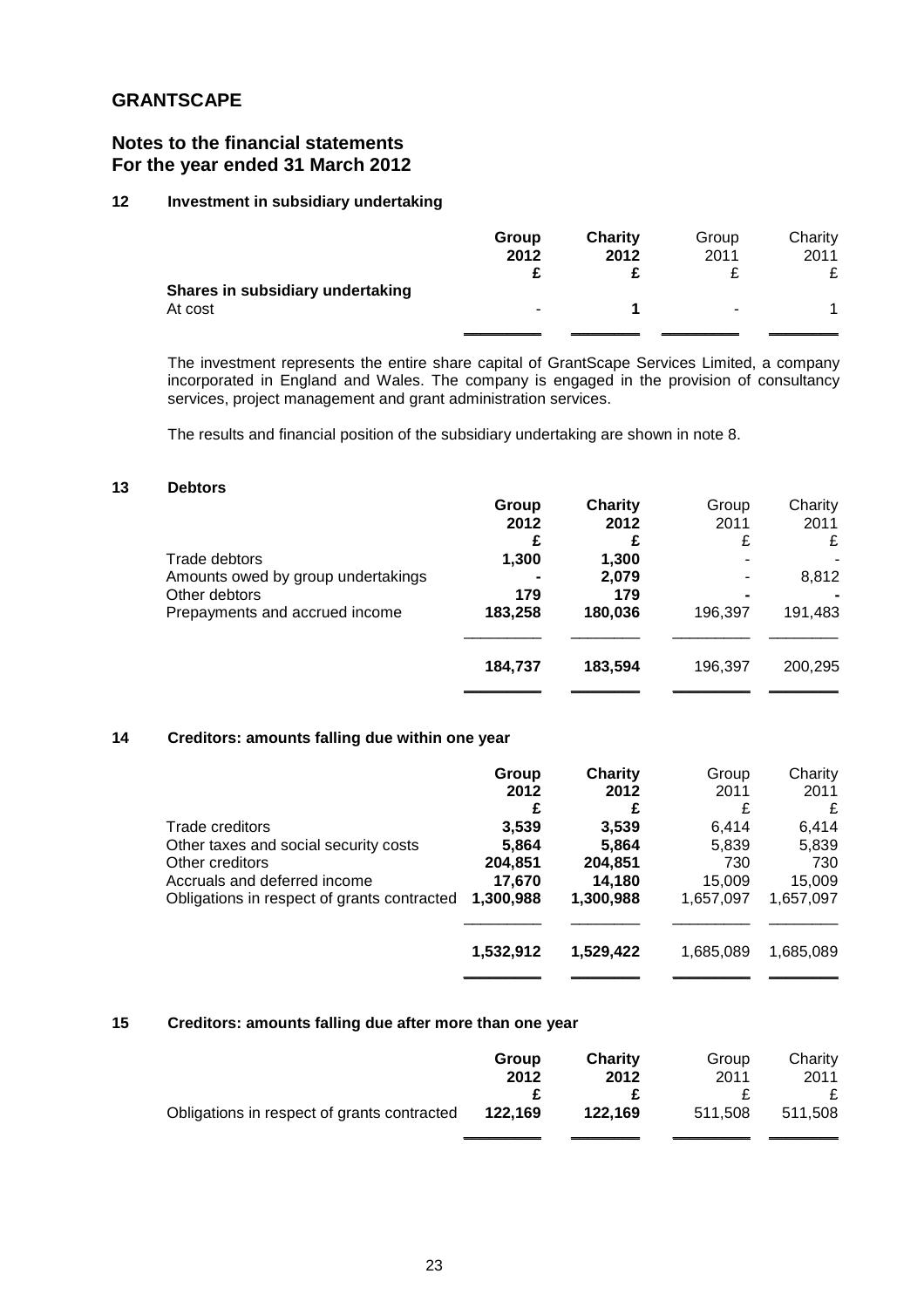# **Notes to the financial statements For the year ended 31 March 2012**

## **12 Investment in subsidiary undertaking**

|                                  | Group          | <b>Charity</b> | Group | Charity |
|----------------------------------|----------------|----------------|-------|---------|
|                                  | 2012           | 2012           | 2011  | 2011    |
|                                  |                |                |       |         |
| Shares in subsidiary undertaking |                |                |       |         |
| At cost                          | $\blacksquare$ |                |       |         |
|                                  |                |                |       |         |

The investment represents the entire share capital of GrantScape Services Limited, a company incorporated in England and Wales. The company is engaged in the provision of consultancy services, project management and grant administration services.

The results and financial position of the subsidiary undertaking are shown in note 8.

## **13 Debtors**

|                                    | Group   | Charity | Group   | Charity |
|------------------------------------|---------|---------|---------|---------|
|                                    | 2012    | 2012    | 2011    | 2011    |
|                                    |         |         |         | £       |
| Trade debtors                      | 1,300   | 1,300   |         |         |
| Amounts owed by group undertakings |         | 2,079   |         | 8,812   |
| Other debtors                      | 179     | 179     |         |         |
| Prepayments and accrued income     | 183,258 | 180,036 | 196,397 | 191,483 |
|                                    |         |         |         |         |
|                                    | 184,737 | 183.594 | 196,397 | 200,295 |
|                                    |         |         |         |         |

### **14 Creditors: amounts falling due within one year**

|                                             | Group     | Charity   | Group     | Charity   |
|---------------------------------------------|-----------|-----------|-----------|-----------|
|                                             | 2012      | 2012      | 2011      | 2011      |
|                                             | £         | £         | £         | £         |
| Trade creditors                             | 3,539     | 3,539     | 6.414     | 6,414     |
| Other taxes and social security costs       | 5,864     | 5,864     | 5,839     | 5,839     |
| Other creditors                             | 204,851   | 204,851   | 730       | 730       |
| Accruals and deferred income                | 17,670    | 14,180    | 15,009    | 15,009    |
| Obligations in respect of grants contracted | 1,300,988 | 1,300,988 | 1,657,097 | 1,657,097 |
|                                             | 1,532,912 | 1,529,422 | 1,685,089 | 1,685,089 |
|                                             |           |           |           |           |

## **15 Creditors: amounts falling due after more than one year**

|                                             | Group   | <b>Charity</b> | Group   | Charity |
|---------------------------------------------|---------|----------------|---------|---------|
|                                             | 2012    | 2012           | 2011    | 2011    |
| Obligations in respect of grants contracted | 122,169 | 122.169        | 511.508 | 511.508 |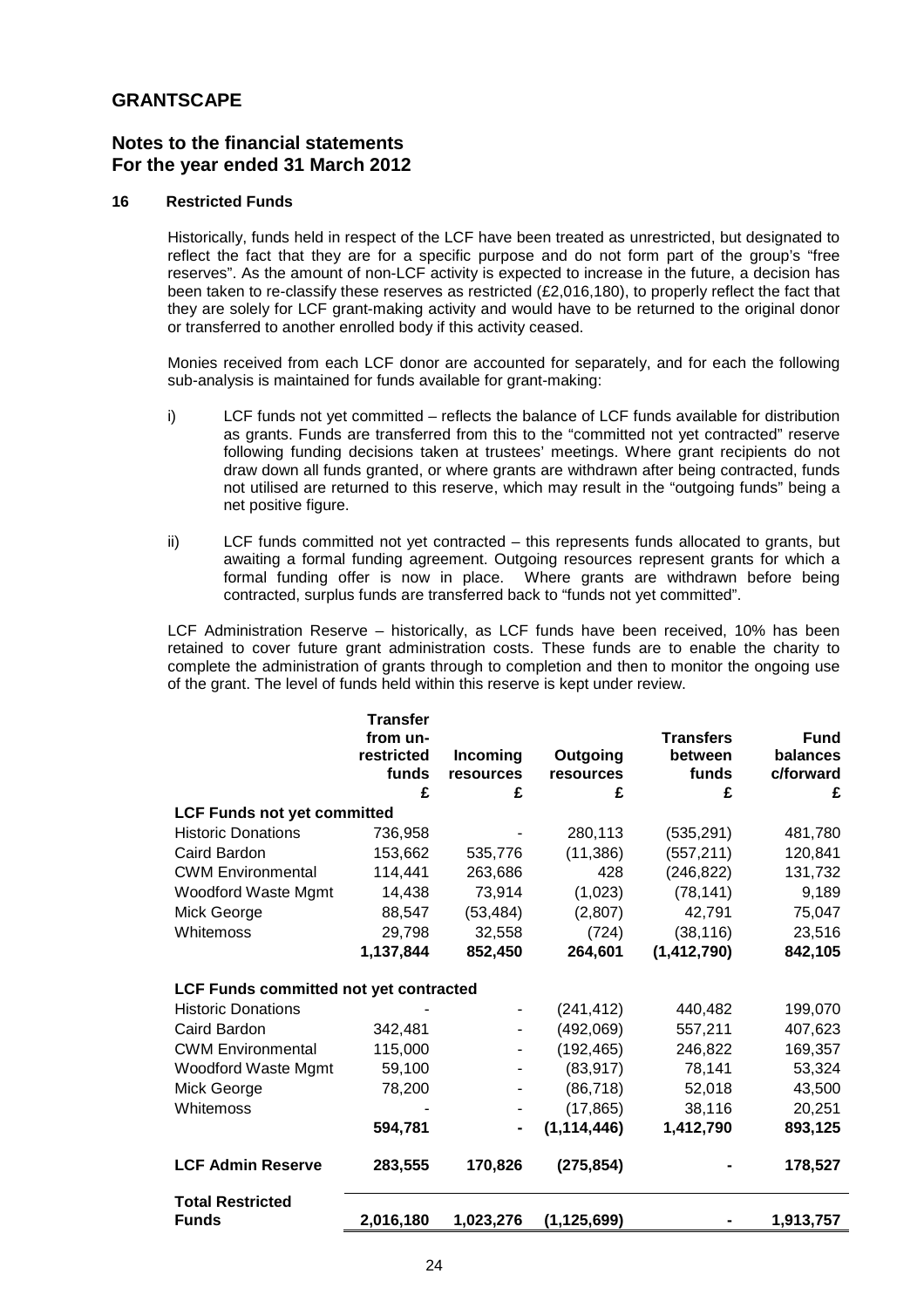# **Notes to the financial statements For the year ended 31 March 2012**

## **16 Restricted Funds**

Historically, funds held in respect of the LCF have been treated as unrestricted, but designated to reflect the fact that they are for a specific purpose and do not form part of the group's "free reserves". As the amount of non-LCF activity is expected to increase in the future, a decision has been taken to re-classify these reserves as restricted (£2,016,180), to properly reflect the fact that they are solely for LCF grant-making activity and would have to be returned to the original donor or transferred to another enrolled body if this activity ceased.

Monies received from each LCF donor are accounted for separately, and for each the following sub-analysis is maintained for funds available for grant-making:

- i) LCF funds not yet committed reflects the balance of LCF funds available for distribution as grants. Funds are transferred from this to the "committed not yet contracted" reserve following funding decisions taken at trustees' meetings. Where grant recipients do not draw down all funds granted, or where grants are withdrawn after being contracted, funds not utilised are returned to this reserve, which may result in the "outgoing funds" being a net positive figure.
- ii) LCF funds committed not yet contracted this represents funds allocated to grants, but awaiting a formal funding agreement. Outgoing resources represent grants for which a formal funding offer is now in place. Where grants are withdrawn before being contracted, surplus funds are transferred back to "funds not yet committed".

LCF Administration Reserve – historically, as LCF funds have been received, 10% has been retained to cover future grant administration costs. These funds are to enable the charity to complete the administration of grants through to completion and then to monitor the ongoing use of the grant. The level of funds held within this reserve is kept under review.

|                                               | <b>Transfer</b><br>from un- |                       |                       | <b>Transfers</b> | <b>Fund</b>           |
|-----------------------------------------------|-----------------------------|-----------------------|-----------------------|------------------|-----------------------|
|                                               | restricted<br>funds         | Incoming<br>resources | Outgoing<br>resources | between<br>funds | balances<br>c/forward |
|                                               | £                           | £                     | £                     | £                | £                     |
| <b>LCF Funds not yet committed</b>            |                             |                       |                       |                  |                       |
| <b>Historic Donations</b>                     | 736,958                     |                       | 280,113               | (535, 291)       | 481,780               |
| Caird Bardon                                  | 153,662                     | 535,776               | (11, 386)             | (557, 211)       | 120,841               |
| <b>CWM Environmental</b>                      | 114,441                     | 263,686               | 428                   | (246, 822)       | 131,732               |
| Woodford Waste Mgmt                           | 14,438                      | 73,914                | (1,023)               | (78, 141)        | 9,189                 |
| Mick George                                   | 88,547                      | (53, 484)             | (2,807)               | 42,791           | 75,047                |
| Whitemoss                                     | 29,798                      | 32,558                | (724)                 | (38, 116)        | 23,516                |
|                                               | 1,137,844                   | 852,450               | 264,601               | (1, 412, 790)    | 842,105               |
| <b>LCF Funds committed not yet contracted</b> |                             |                       |                       |                  |                       |
| <b>Historic Donations</b>                     |                             |                       | (241, 412)            | 440,482          | 199,070               |
| Caird Bardon                                  | 342,481                     |                       | (492,069)             | 557,211          | 407,623               |
| <b>CWM Environmental</b>                      | 115,000                     |                       | (192, 465)            | 246,822          | 169,357               |
| Woodford Waste Mgmt                           | 59,100                      |                       | (83, 917)             | 78,141           | 53,324                |
| Mick George                                   | 78,200                      |                       | (86, 718)             | 52,018           | 43,500                |
| Whitemoss                                     |                             |                       | (17, 865)             | 38,116           | 20,251                |
|                                               | 594,781                     |                       | (1, 114, 446)         | 1,412,790        | 893,125               |
| <b>LCF Admin Reserve</b>                      | 283,555                     | 170,826               | (275, 854)            |                  | 178,527               |
| <b>Total Restricted</b><br><b>Funds</b>       | 2,016,180                   | 1,023,276             | (1, 125, 699)         |                  | 1,913,757             |